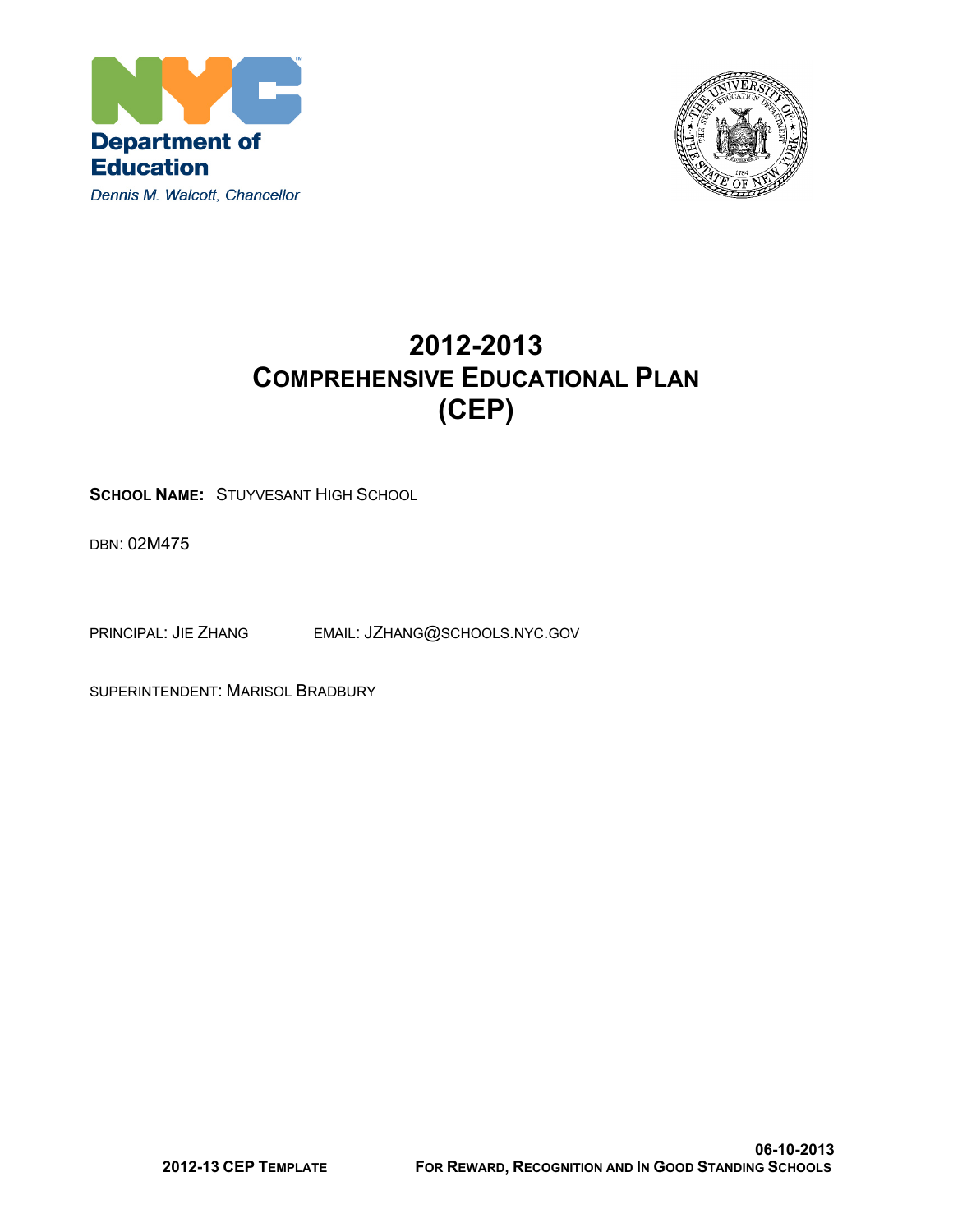



## **2012-2013 COMPREHENSIVE EDUCATIONAL PLAN (CEP)**

**SCHOOL NAME:** STUYVESANT HIGH SCHOOL

DBN: 02M475

PRINCIPAL: JIE ZHANG EMAIL: JZHANG@SCHOOLS.NYC.GOV

SUPERINTENDENT: MARISOL BRADBURY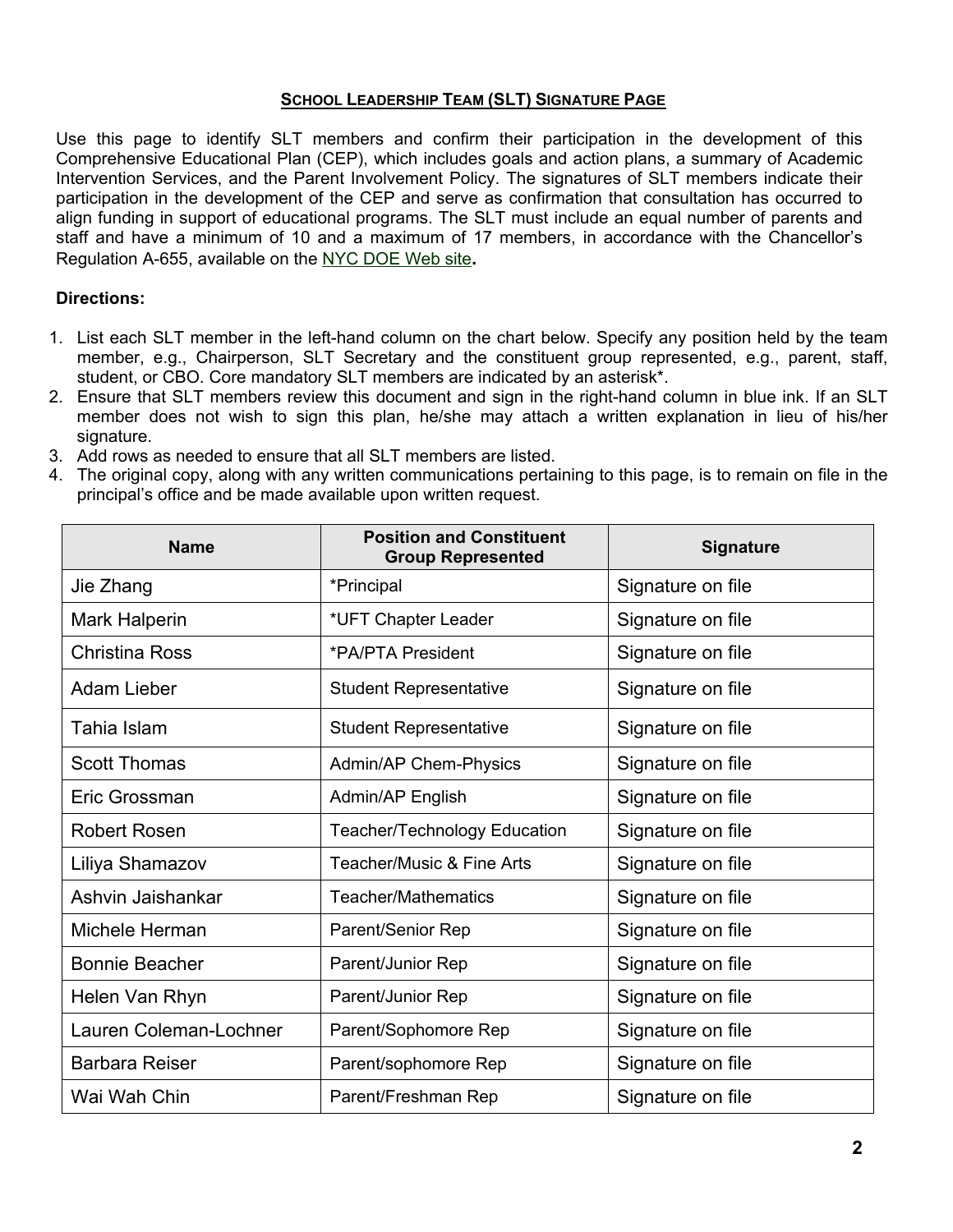#### **SCHOOL LEADERSHIP TEAM (SLT) SIGNATURE PAGE**

Use this page to identify SLT members and confirm their participation in the development of this Comprehensive Educational Plan (CEP), which includes goals and action plans, a summary of Academic Intervention Services, and the Parent Involvement Policy. The signatures of SLT members indicate their participation in the development of the CEP and serve as confirmation that consultation has occurred to align funding in support of educational programs. The SLT must include an equal number of parents and staff and have a minimum of 10 and a maximum of 17 members, in accordance with the Chancellor's Regulation A-655, available on the [NYC](http://schools.nyc.gov/NR/rdonlyres/381F4607-7841-4D28-B7D5-0F30DDB77DFA/82007/A655FINAL1.pdf) [DOE](http://schools.nyc.gov/NR/rdonlyres/381F4607-7841-4D28-B7D5-0F30DDB77DFA/82007/A655FINAL1.pdf) [Web](http://schools.nyc.gov/NR/rdonlyres/381F4607-7841-4D28-B7D5-0F30DDB77DFA/82007/A655FINAL1.pdf) [site](http://schools.nyc.gov/NR/rdonlyres/381F4607-7841-4D28-B7D5-0F30DDB77DFA/82007/A655FINAL1.pdf)**.**

#### **Directions:**

- 1. List each SLT member in the left-hand column on the chart below. Specify any position held by the team member, e.g., Chairperson, SLT Secretary and the constituent group represented, e.g., parent, staff, student, or CBO. Core mandatory SLT members are indicated by an asterisk\*.
- 2. Ensure that SLT members review this document and sign in the right-hand column in blue ink. If an SLT member does not wish to sign this plan, he/she may attach a written explanation in lieu of his/her signature.
- 3. Add rows as needed to ensure that all SLT members are listed.
- 4. The original copy, along with any written communications pertaining to this page, is to remain on file in the principal's office and be made available upon written request.

| <b>Name</b>            | <b>Position and Constituent</b><br><b>Group Represented</b> | <b>Signature</b>  |
|------------------------|-------------------------------------------------------------|-------------------|
| Jie Zhang              | *Principal                                                  | Signature on file |
| Mark Halperin          | *UFT Chapter Leader                                         | Signature on file |
| <b>Christina Ross</b>  | *PA/PTA President                                           | Signature on file |
| Adam Lieber            | <b>Student Representative</b>                               | Signature on file |
| Tahia Islam            | <b>Student Representative</b>                               | Signature on file |
| <b>Scott Thomas</b>    | <b>Admin/AP Chem-Physics</b>                                | Signature on file |
| Eric Grossman          | Admin/AP English                                            | Signature on file |
| <b>Robert Rosen</b>    | <b>Teacher/Technology Education</b>                         | Signature on file |
| Liliya Shamazov        | Teacher/Music & Fine Arts                                   | Signature on file |
| Ashvin Jaishankar      | Teacher/Mathematics                                         | Signature on file |
| Michele Herman         | Parent/Senior Rep                                           | Signature on file |
| <b>Bonnie Beacher</b>  | Parent/Junior Rep                                           | Signature on file |
| Helen Van Rhyn         | Parent/Junior Rep                                           | Signature on file |
| Lauren Coleman-Lochner | Parent/Sophomore Rep                                        | Signature on file |
| <b>Barbara Reiser</b>  | Parent/sophomore Rep                                        | Signature on file |
| Wai Wah Chin           | Parent/Freshman Rep                                         | Signature on file |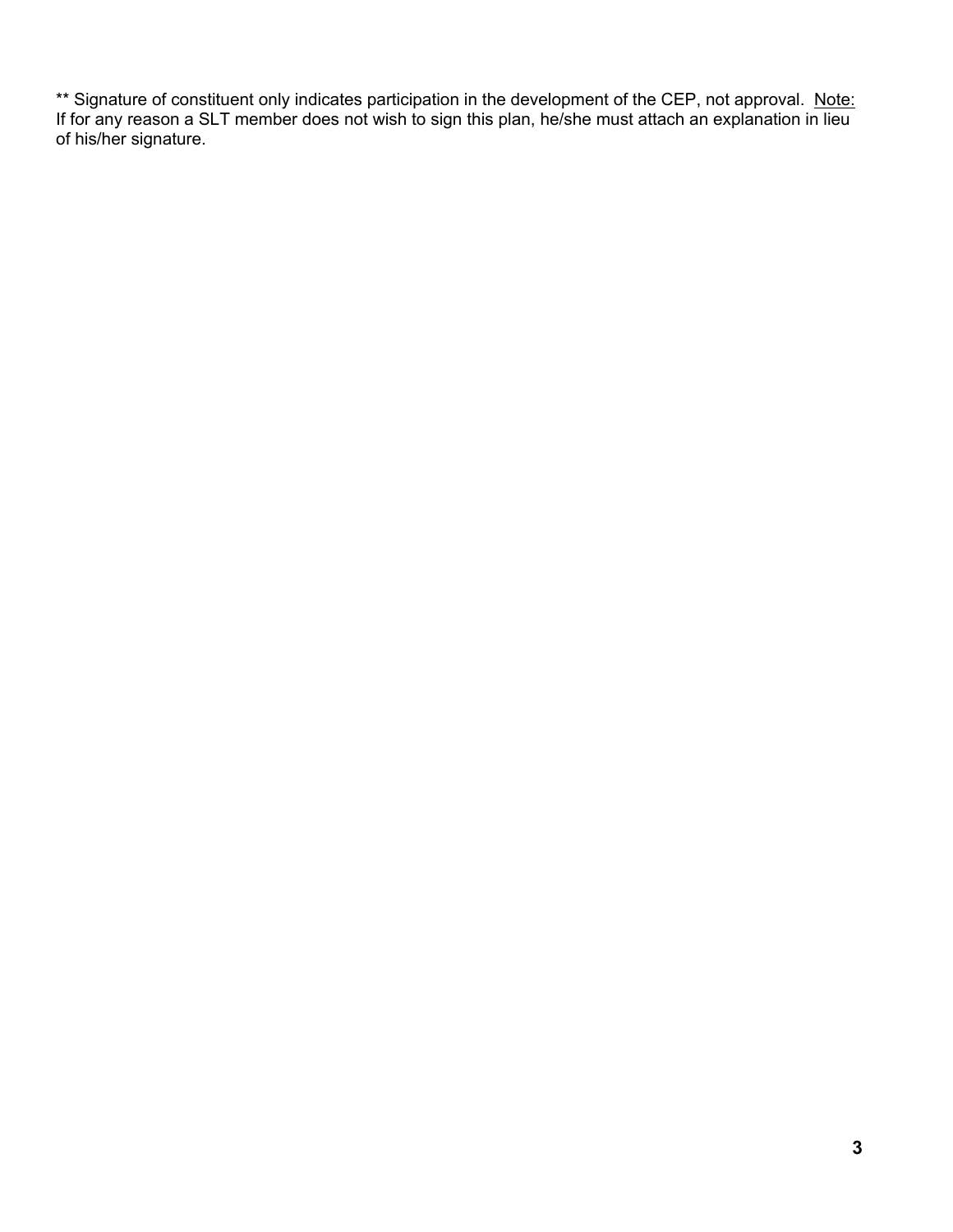\*\* Signature of constituent only indicates participation in the development of the CEP, not approval. Note: If for any reason a SLT member does not wish to sign this plan, he/she must attach an explanation in lieu of his/her signature.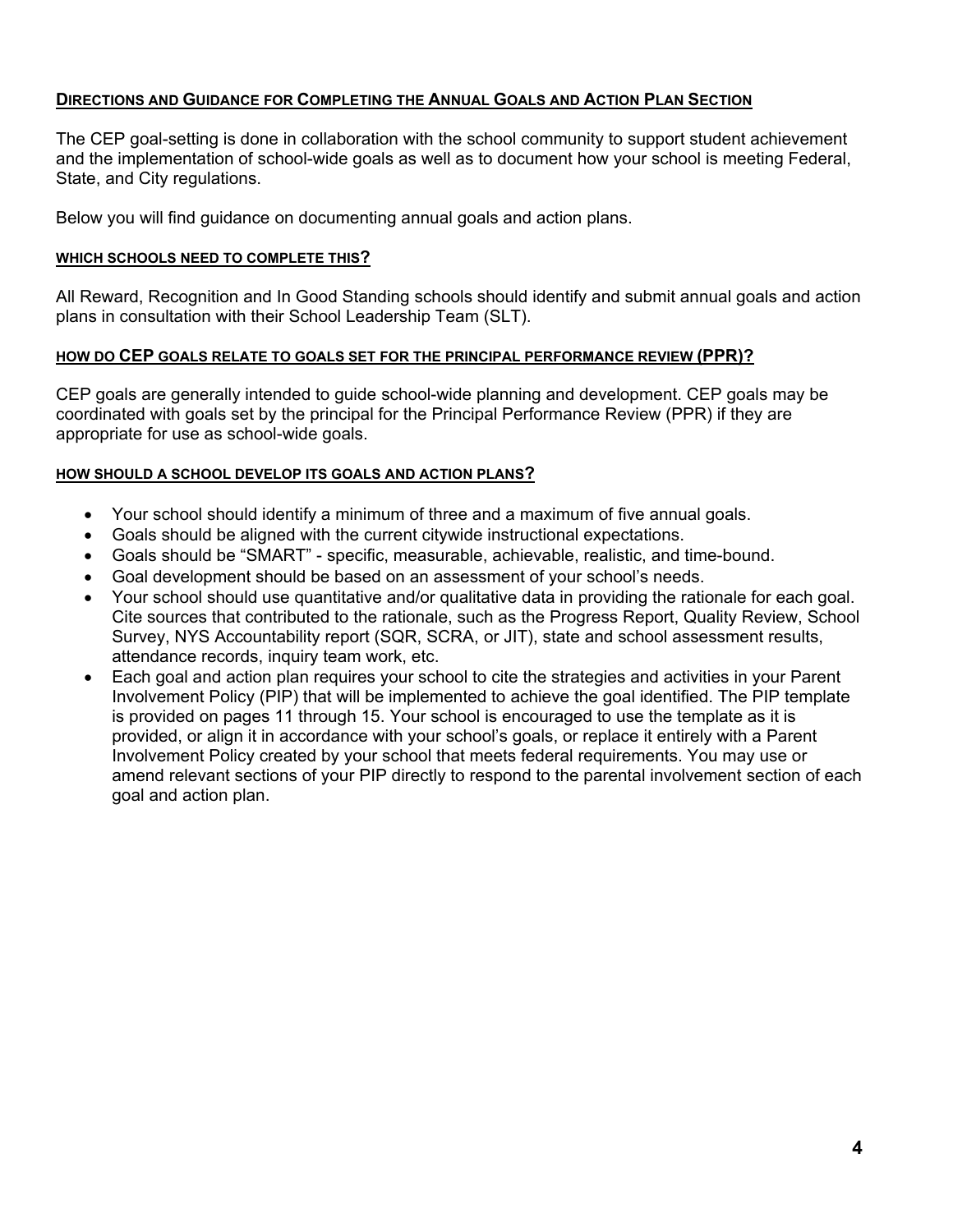#### **DIRECTIONS AND GUIDANCE FOR COMPLETING THE ANNUAL GOALS AND ACTION PLAN SECTION**

The CEP goal-setting is done in collaboration with the school community to support student achievement and the implementation of school-wide goals as well as to document how your school is meeting Federal, State, and City regulations.

Below you will find guidance on documenting annual goals and action plans.

#### **WHICH SCHOOLS NEED TO COMPLETE THIS?**

All Reward, Recognition and In Good Standing schools should identify and submit annual goals and action plans in consultation with their School Leadership Team (SLT).

#### **HOW DO CEP GOALS RELATE TO GOALS SET FOR THE PRINCIPAL PERFORMANCE REVIEW (PPR)?**

CEP goals are generally intended to guide school-wide planning and development. CEP goals may be coordinated with goals set by the principal for the Principal Performance Review (PPR) if they are appropriate for use as school-wide goals.

#### **HOW SHOULD A SCHOOL DEVELOP ITS GOALS AND ACTION PLANS?**

- Your school should identify a minimum of three and a maximum of five annual goals.
- Goals should be aligned with the current citywide instructional expectations.
- Goals should be "SMART" specific, measurable, achievable, realistic, and time-bound.
- Goal development should be based on an assessment of your school's needs.
- Your school should use quantitative and/or qualitative data in providing the rationale for each goal. Cite sources that contributed to the rationale, such as the Progress Report, Quality Review, School Survey, NYS Accountability report (SQR, SCRA, or JIT), state and school assessment results, attendance records, inquiry team work, etc.
- Each goal and action plan requires your school to cite the strategies and activities in your Parent Involvement Policy (PIP) that will be implemented to achieve the goal identified. The PIP template is provided on pages 11 through 15. Your school is encouraged to use the template as it is provided, or align it in accordance with your school's goals, or replace it entirely with a Parent Involvement Policy created by your school that meets federal requirements. You may use or amend relevant sections of your PIP directly to respond to the parental involvement section of each goal and action plan.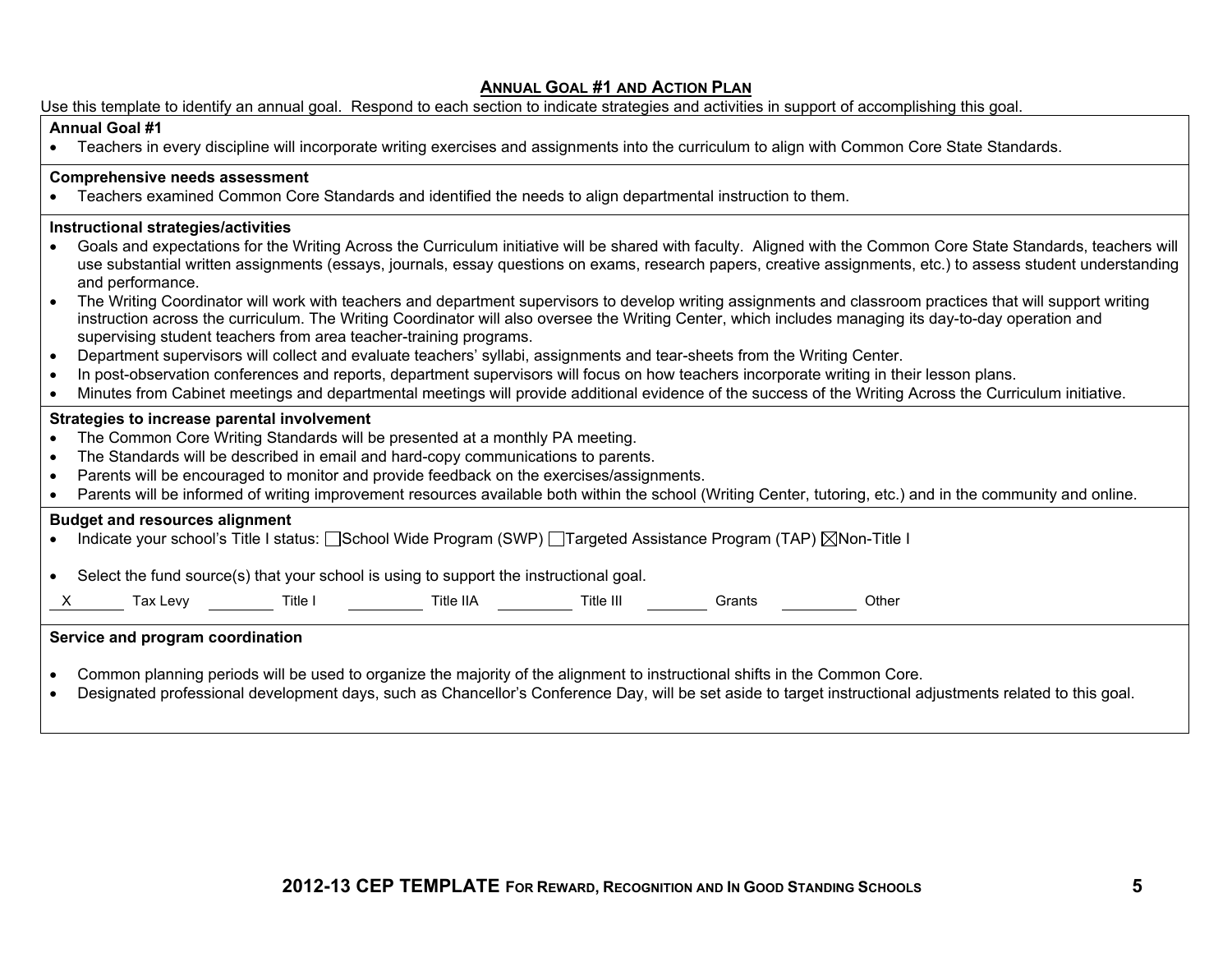#### **ANNUAL GOAL #1 AND ACTION PLAN**

|  | Use this template to identify an annual goal. Respond to each section to indicate strategies and activities in support of accomplishing this goal. |  |  |  |  |  |
|--|----------------------------------------------------------------------------------------------------------------------------------------------------|--|--|--|--|--|
|--|----------------------------------------------------------------------------------------------------------------------------------------------------|--|--|--|--|--|

#### **Annual Goal #1**

Teachers in every discipline will incorporate writing exercises and assignments into the curriculum to align with Common Core State Standards.

#### **Comprehensive needs assessment**

Teachers examined Common Core Standards and identified the needs to align departmental instruction to them.

#### **Instructional strategies/activities**

- Goals and expectations for the Writing Across the Curriculum initiative will be shared with faculty. Aligned with the Common Core State Standards, teachers will use substantial written assignments (essays, journals, essay questions on exams, research papers, creative assignments, etc.) to assess student understanding and performance.
- The Writing Coordinator will work with teachers and department supervisors to develop writing assignments and classroom practices that will support writing instruction across the curriculum. The Writing Coordinator will also oversee the Writing Center, which includes managing its day-to-day operation and supervising student teachers from area teacher-training programs.
- Department supervisors will collect and evaluate teachers' syllabi, assignments and tear-sheets from the Writing Center.
- . In post-observation conferences and reports, department supervisors will focus on how teachers incorporate writing in their lesson plans.
- Minutes from Cabinet meetings and departmental meetings will provide additional evidence of the success of the Writing Across the Curriculum initiative.

#### **Strategies to increase parental involvement**

- The Common Core Writing Standards will be presented at a monthly PA meeting.
- The Standards will be described in email and hard-copy communications to parents.
- Parents will be encouraged to monitor and provide feedback on the exercises/assignments.
- Parents will be informed of writing improvement resources available both within the school (Writing Center, tutoring, etc.) and in the community and online.

#### **Budget and resources alignment**

- Indicate your school's Title I status:  $\square$ School Wide Program (SWP)  $\square$ Targeted Assistance Program (TAP)  $\square$ Non-Title I
- Select the fund source(s) that your school is using to support the instructional goal.

X Tax Levy Title I Title IIA Title III Grants Other

#### **Service and program coordination**

- Common planning periods will be used to organize the majority of the alignment to instructional shifts in the Common Core.
- Designated professional development days, such as Chancellor's Conference Day, will be set aside to target instructional adjustments related to this goal.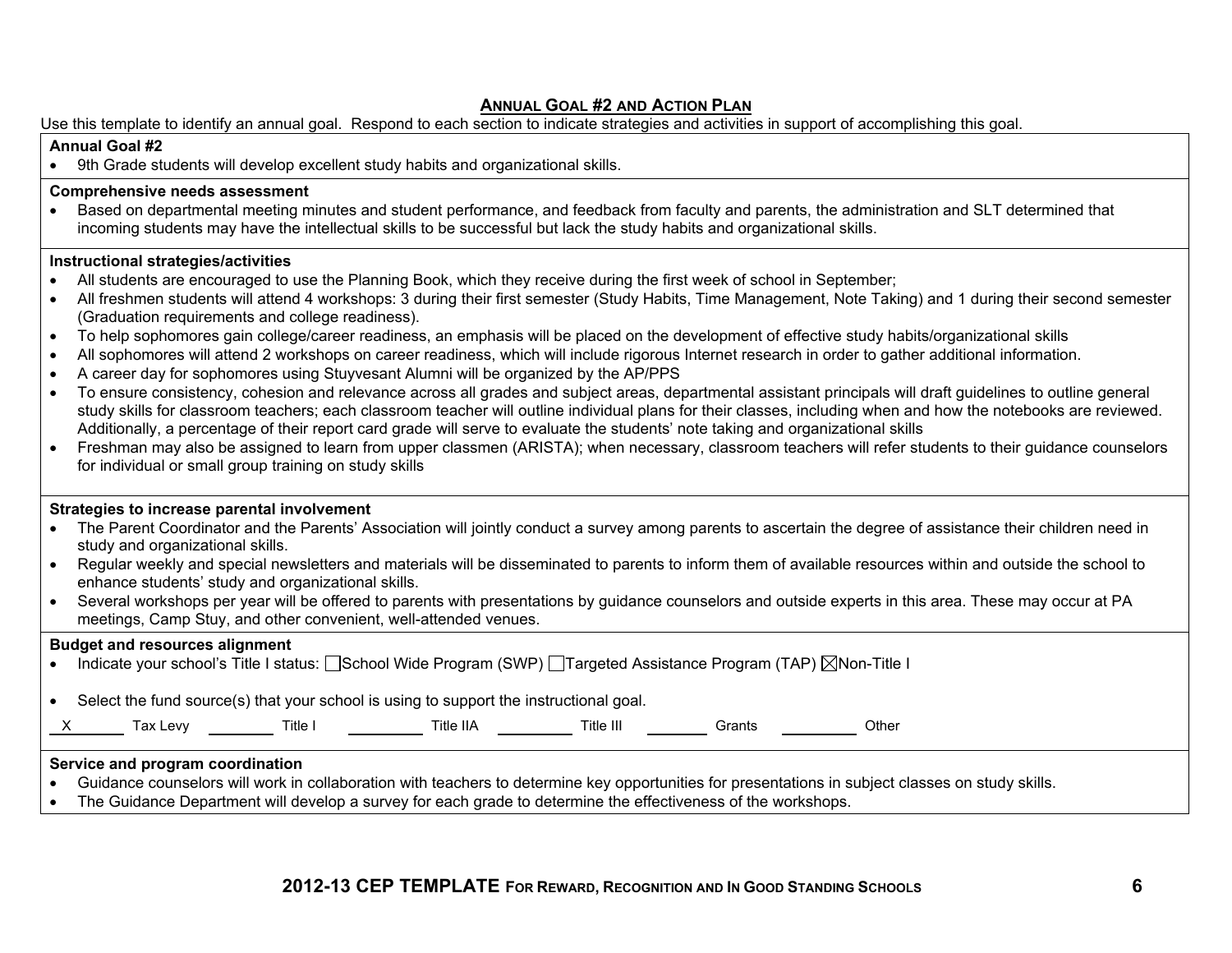#### **ANNUAL GOAL #2 AND ACTION PLAN**

Use this template to identify an annual goal. Respond to each section to indicate strategies and activities in support of accomplishing this goal.

#### **Annual Goal #2**

9th Grade students will develop excellent study habits and organizational skills.

#### **Comprehensive needs assessment**

 Based on departmental meeting minutes and student performance, and feedback from faculty and parents, the administration and SLT determined that incoming students may have the intellectual skills to be successful but lack the study habits and organizational skills.

#### **Instructional strategies/activities**

- All students are encouraged to use the Planning Book, which they receive during the first week of school in September;
- All freshmen students will attend 4 workshops: 3 during their first semester (Study Habits, Time Management, Note Taking) and 1 during their second semester (Graduation requirements and college readiness).
- To help sophomores gain college/career readiness, an emphasis will be placed on the development of effective study habits/organizational skills
- All sophomores will attend 2 workshops on career readiness, which will include rigorous Internet research in order to gather additional information.
- A career day for sophomores using Stuyvesant Alumni will be organized by the AP/PPS
- To ensure consistency, cohesion and relevance across all grades and subject areas, departmental assistant principals will draft guidelines to outline general study skills for classroom teachers; each classroom teacher will outline individual plans for their classes, including when and how the notebooks are reviewed. Additionally, a percentage of their report card grade will serve to evaluate the students' note taking and organizational skills
- Freshman may also be assigned to learn from upper classmen (ARISTA); when necessary, classroom teachers will refer students to their guidance counselors for individual or small group training on study skills

#### **Strategies to increase parental involvement**

| The Parent Coordinator and the Parents' Association will jointly conduct a survey among parents to ascertain the degree of assistance their children need in |
|--------------------------------------------------------------------------------------------------------------------------------------------------------------|
| study and organizational skills.                                                                                                                             |

- Regular weekly and special newsletters and materials will be disseminated to parents to inform them of available resources within and outside the school to enhance students' study and organizational skills.
- Several workshops per year will be offered to parents with presentations by guidance counselors and outside experts in this area. These may occur at PA meetings, Camp Stuy, and other convenient, well-attended venues.

#### **Budget and resources alignment**

Indicate your school's Title I status: School Wide Program (SWP) Trargeted Assistance Program (TAP)  $\boxtimes$ Non-Title I

Select the fund source(s) that your school is using to support the instructional goal.

| axley |  |
|-------|--|
|       |  |

X Tax Levy Title I Title IIA Title III Grants Other

#### **Service and program coordination**

- Guidance counselors will work in collaboration with teachers to determine key opportunities for presentations in subject classes on study skills.
- The Guidance Department will develop a survey for each grade to determine the effectiveness of the workshops.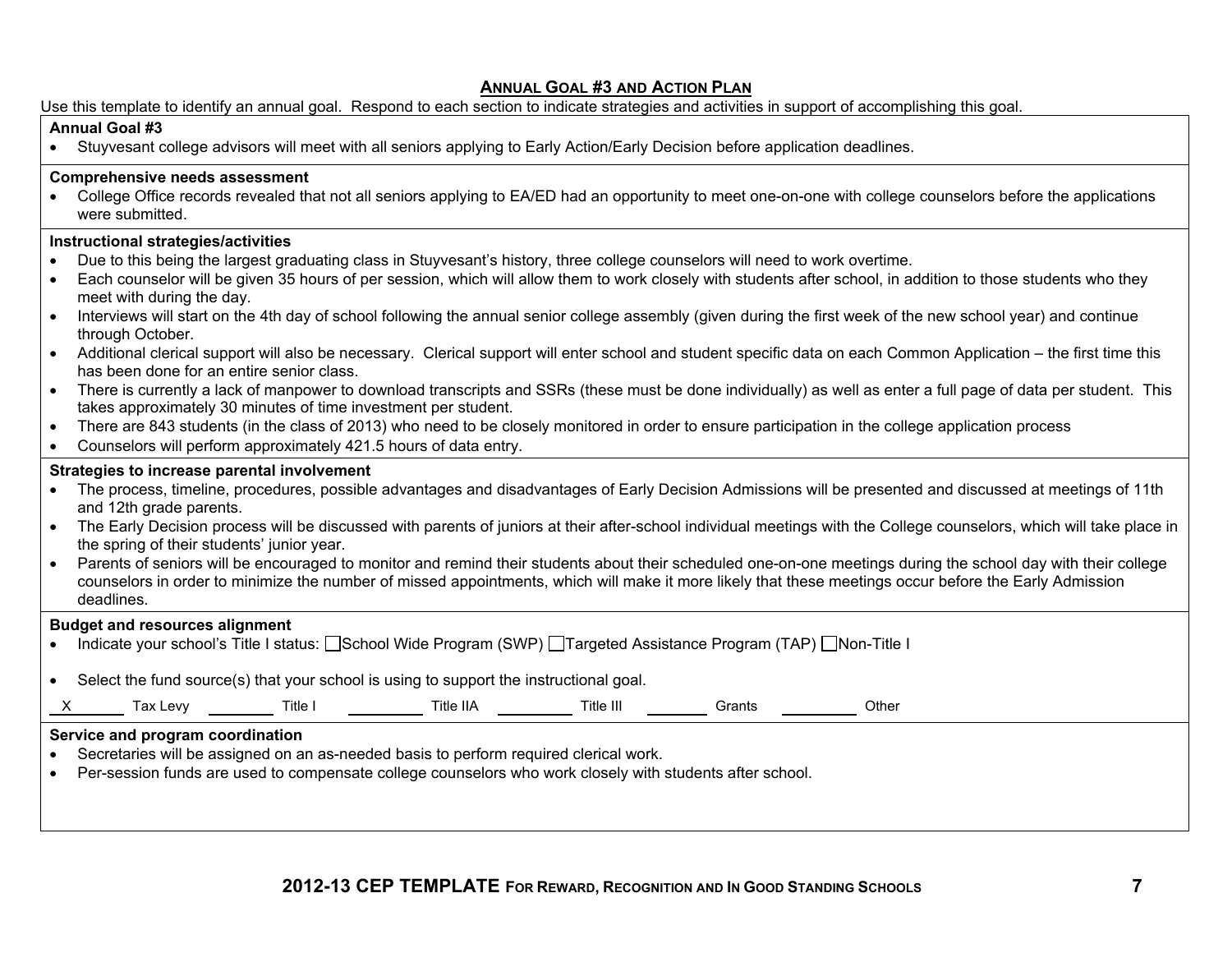#### **ANNUAL GOAL #3 AND ACTION PLAN**

Use this template to identify an annual goal. Respond to each section to indicate strategies and activities in support of accomplishing this goal.

#### **Annual Goal #3**

Stuyvesant college advisors will meet with all seniors applying to Early Action/Early Decision before application deadlines.

#### **Comprehensive needs assessment**

• College Office records revealed that not all seniors applying to EA/ED had an opportunity to meet one-on-one with college counselors before the applications were submitted.

#### **Instructional strategies/activities**

- Due to this being the largest graduating class in Stuyvesant's history, three college counselors will need to work overtime.
- Each counselor will be given 35 hours of per session, which will allow them to work closely with students after school, in addition to those students who they meet with during the day.
- Interviews will start on the 4th day of school following the annual senior college assembly (given during the first week of the new school year) and continue through October.
- Additional clerical support will also be necessary. Clerical support will enter school and student specific data on each Common Application the first time this has been done for an entire senior class.
- There is currently a lack of manpower to download transcripts and SSRs (these must be done individually) as well as enter a full page of data per student. This takes approximately 30 minutes of time investment per student.
- There are 843 students (in the class of 2013) who need to be closely monitored in order to ensure participation in the college application process
- Counselors will perform approximately 421.5 hours of data entry.

#### **Strategies to increase parental involvement**

- The process, timeline, procedures, possible advantages and disadvantages of Early Decision Admissions will be presented and discussed at meetings of 11th and 12th grade parents.
- The Early Decision process will be discussed with parents of juniors at their after-school individual meetings with the College counselors, which will take place in the spring of their students' junior year.
- Parents of seniors will be encouraged to monitor and remind their students about their scheduled one-on-one meetings during the school day with their college counselors in order to minimize the number of missed appointments, which will make it more likely that these meetings occur before the Early Admission deadlines.

#### **Budget and resources alignment**

- Indicate your school's Title I status: School Wide Program (SWP) Trangeted Assistance Program (TAP) Non-Title I
- Select the fund source(s) that your school is using to support the instructional goal.

| __<br>. |  | AN<br>οv<br>'Аλ | ⊺itle | <b>IIA</b><br>'itle | Title<br>.<br> | - - -<br>ants | Othe |
|---------|--|-----------------|-------|---------------------|----------------|---------------|------|
|---------|--|-----------------|-------|---------------------|----------------|---------------|------|

#### **Service and program coordination**

- Secretaries will be assigned on an as-needed basis to perform required clerical work.
- Per-session funds are used to compensate college counselors who work closely with students after school.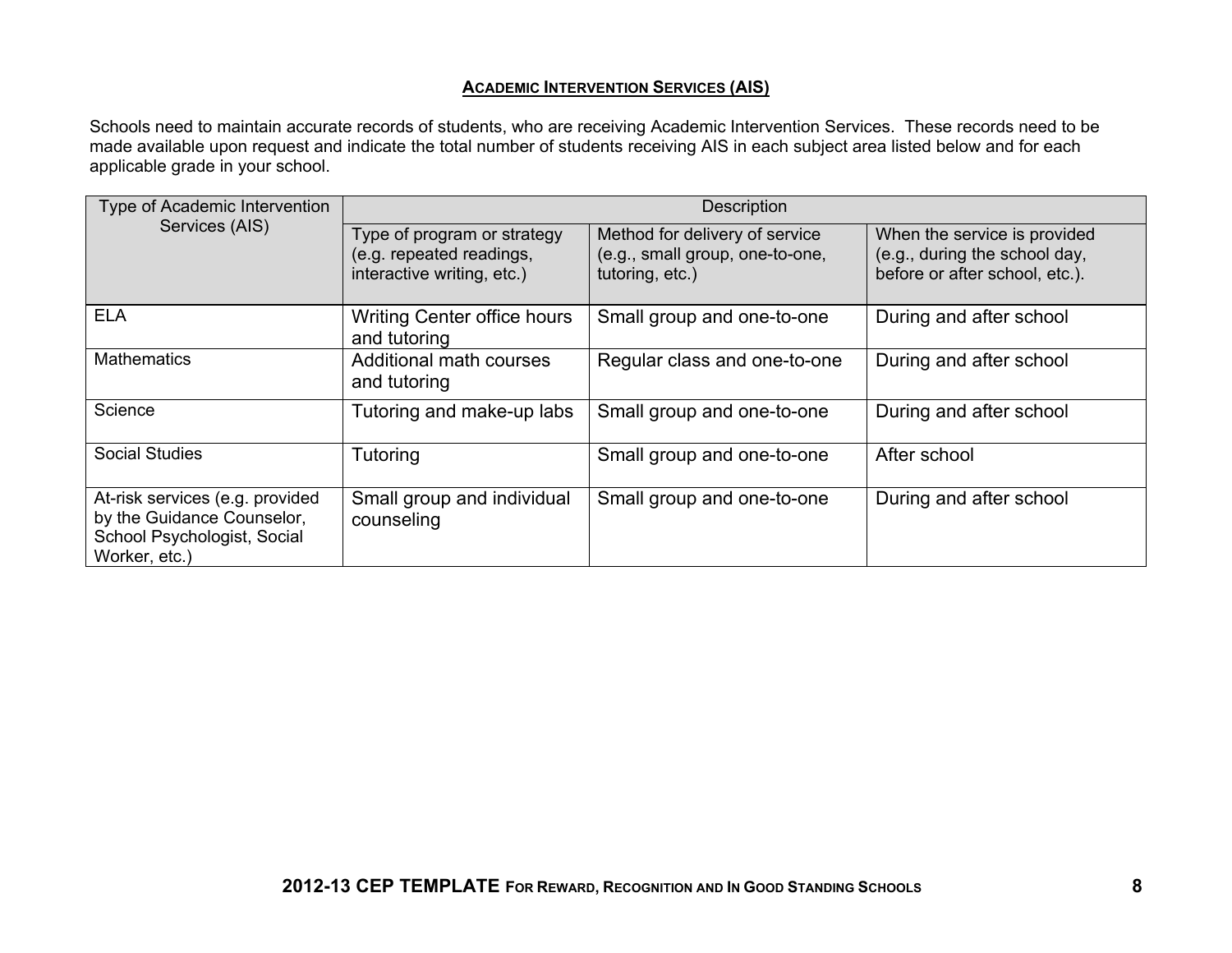#### **ACADEMIC INTERVENTION SERVICES (AIS)**

Schools need to maintain accurate records of students, who are receiving Academic Intervention Services. These records need to be made available upon request and indicate the total number of students receiving AIS in each subject area listed below and for each applicable grade in your school.

| Type of Academic Intervention                                                                                 | <b>Description</b>                                                                    |                                                                                      |                                                                                                 |  |  |
|---------------------------------------------------------------------------------------------------------------|---------------------------------------------------------------------------------------|--------------------------------------------------------------------------------------|-------------------------------------------------------------------------------------------------|--|--|
| Services (AIS)                                                                                                | Type of program or strategy<br>(e.g. repeated readings,<br>interactive writing, etc.) | Method for delivery of service<br>(e.g., small group, one-to-one,<br>tutoring, etc.) | When the service is provided<br>(e.g., during the school day,<br>before or after school, etc.). |  |  |
| <b>ELA</b>                                                                                                    | <b>Writing Center office hours</b><br>and tutoring                                    | Small group and one-to-one                                                           | During and after school                                                                         |  |  |
| <b>Mathematics</b>                                                                                            | Additional math courses<br>and tutoring                                               | Regular class and one-to-one                                                         | During and after school                                                                         |  |  |
| Science                                                                                                       | Tutoring and make-up labs                                                             | Small group and one-to-one                                                           | During and after school                                                                         |  |  |
| <b>Social Studies</b>                                                                                         | Tutoring                                                                              | Small group and one-to-one                                                           | After school                                                                                    |  |  |
| At-risk services (e.g. provided<br>by the Guidance Counselor,<br>School Psychologist, Social<br>Worker, etc.) | Small group and individual<br>counseling                                              | Small group and one-to-one                                                           | During and after school                                                                         |  |  |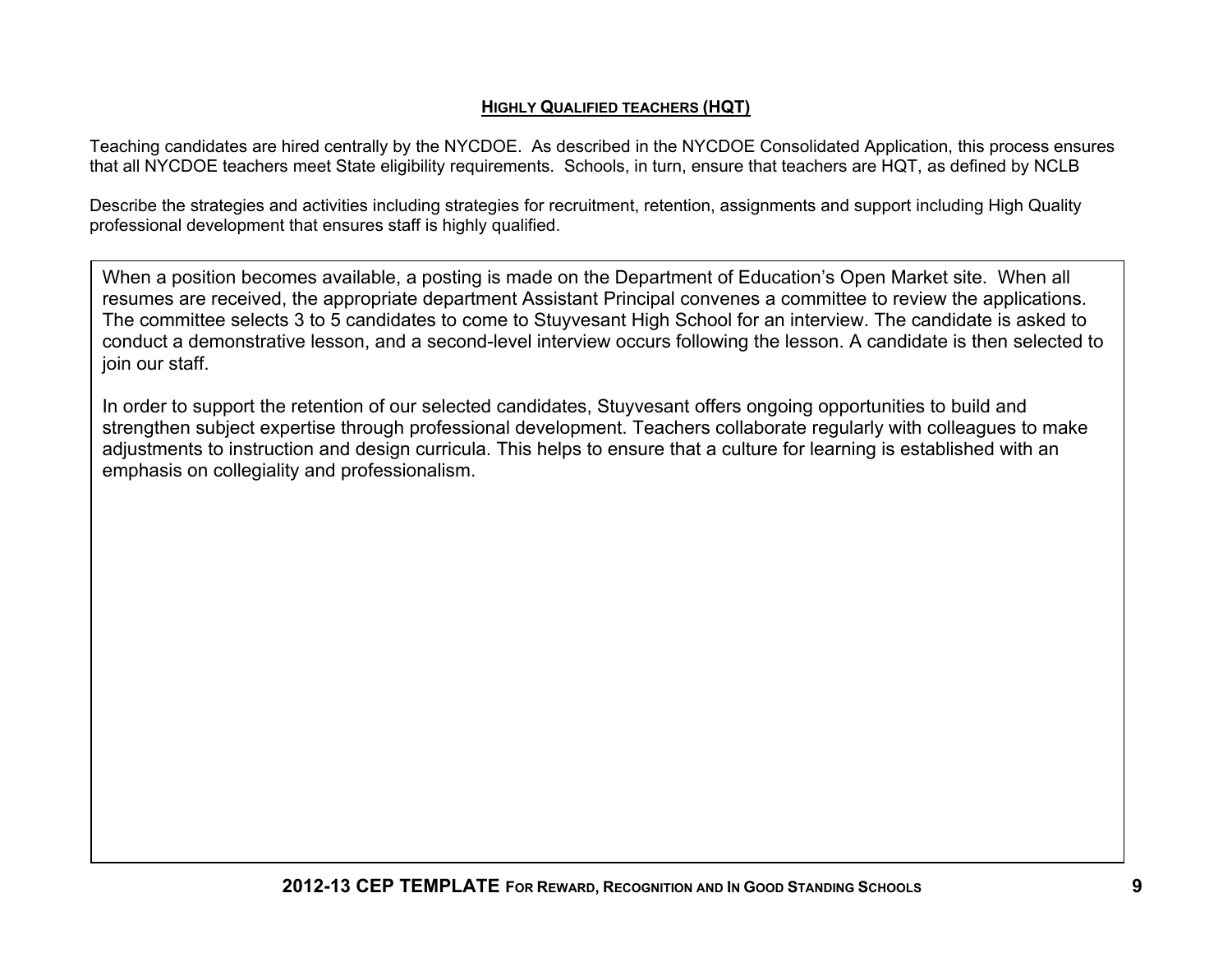#### **HIGHLY QUALIFIED TEACHERS (HQT)**

Teaching candidates are hired centrally by the NYCDOE. As described in the NYCDOE Consolidated Application, this process ensures that all NYCDOE teachers meet State eligibility requirements. Schools, in turn, ensure that teachers are HQT, as defined by NCLB

Describe the strategies and activities including strategies for recruitment, retention, assignments and support including High Quality professional development that ensures staff is highly qualified.

When a position becomes available, a posting is made on the Department of Education's Open Market site. When all resumes are received, the appropriate department Assistant Principal convenes a committee to review the applications. The committee selects 3 to 5 candidates to come to Stuyvesant High School for an interview. The candidate is asked to conduct a demonstrative lesson, and a second-level interview occurs following the lesson. A candidate is then selected to join our staff.

In order to support the retention of our selected candidates, Stuyvesant offers ongoing opportunities to build and strengthen subject expertise through professional development. Teachers collaborate regularly with colleagues to make adjustments to instruction and design curricula. This helps to ensure that a culture for learning is established with an emphasis on collegiality and professionalism.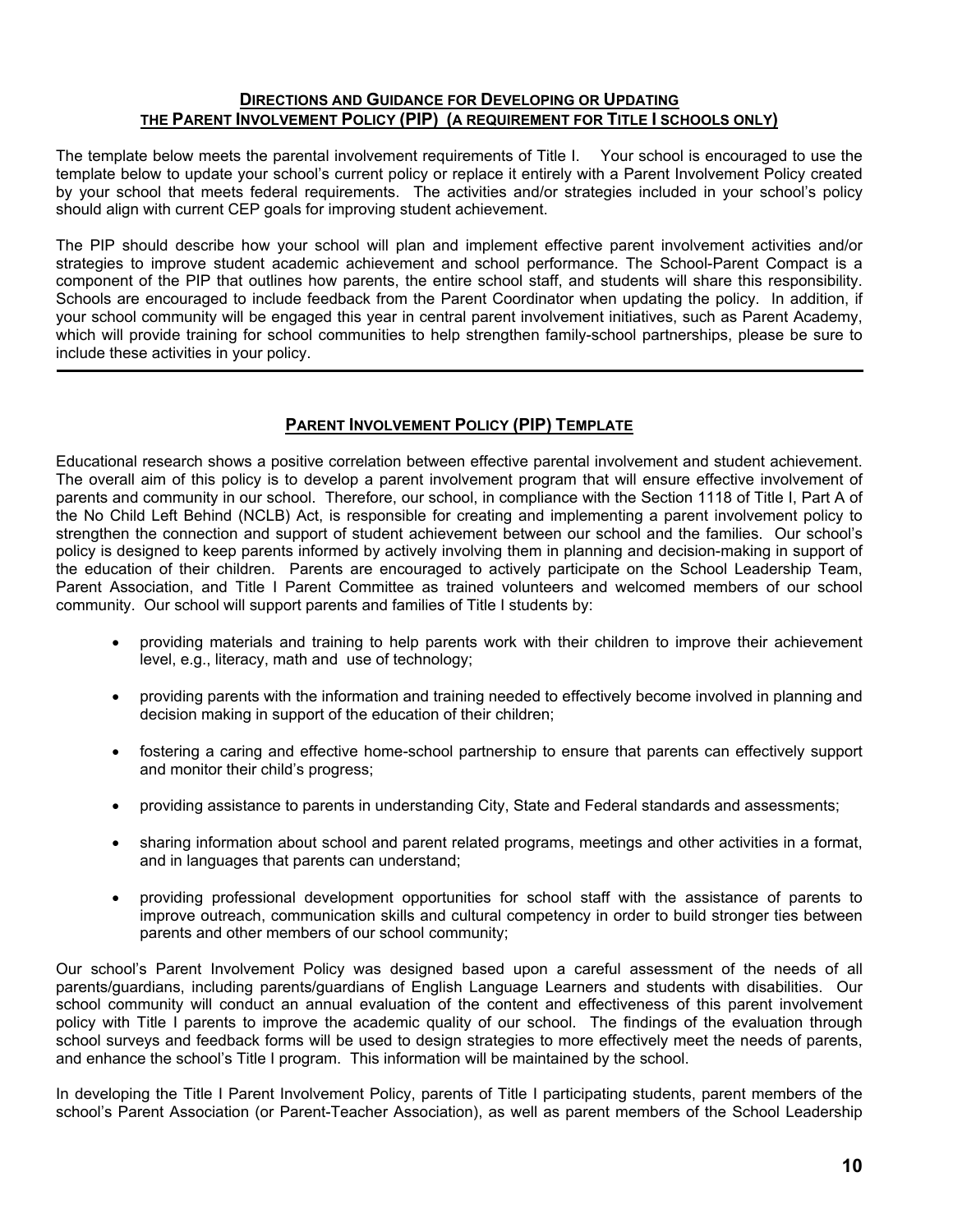#### **DIRECTIONS AND GUIDANCE FOR DEVELOPING OR UPDATING THE PARENT INVOLVEMENT POLICY (PIP) (A REQUIREMENT FOR TITLE I SCHOOLS ONLY)**

The template below meets the parental involvement requirements of Title I. Your school is encouraged to use the template below to update your school's current policy or replace it entirely with a Parent Involvement Policy created by your school that meets federal requirements. The activities and/or strategies included in your school's policy should align with current CEP goals for improving student achievement.

The PIP should describe how your school will plan and implement effective parent involvement activities and/or strategies to improve student academic achievement and school performance. The School-Parent Compact is a component of the PIP that outlines how parents, the entire school staff, and students will share this responsibility. Schools are encouraged to include feedback from the Parent Coordinator when updating the policy. In addition, if your school community will be engaged this year in central parent involvement initiatives, such as Parent Academy, which will provide training for school communities to help strengthen family-school partnerships, please be sure to include these activities in your policy.

#### **PARENT INVOLVEMENT POLICY (PIP) TEMPLATE**

Educational research shows a positive correlation between effective parental involvement and student achievement. The overall aim of this policy is to develop a parent involvement program that will ensure effective involvement of parents and community in our school. Therefore, our school, in compliance with the Section 1118 of Title I, Part A of the No Child Left Behind (NCLB) Act, is responsible for creating and implementing a parent involvement policy to strengthen the connection and support of student achievement between our school and the families. Our school's policy is designed to keep parents informed by actively involving them in planning and decision-making in support of the education of their children. Parents are encouraged to actively participate on the School Leadership Team, Parent Association, and Title I Parent Committee as trained volunteers and welcomed members of our school community. Our school will support parents and families of Title I students by:

- providing materials and training to help parents work with their children to improve their achievement level, e.g., literacy, math and use of technology;
- providing parents with the information and training needed to effectively become involved in planning and decision making in support of the education of their children;
- fostering a caring and effective home-school partnership to ensure that parents can effectively support and monitor their child's progress;
- providing assistance to parents in understanding City, State and Federal standards and assessments;
- sharing information about school and parent related programs, meetings and other activities in a format, and in languages that parents can understand;
- providing professional development opportunities for school staff with the assistance of parents to improve outreach, communication skills and cultural competency in order to build stronger ties between parents and other members of our school community;

Our school's Parent Involvement Policy was designed based upon a careful assessment of the needs of all parents/guardians, including parents/guardians of English Language Learners and students with disabilities. Our school community will conduct an annual evaluation of the content and effectiveness of this parent involvement policy with Title I parents to improve the academic quality of our school. The findings of the evaluation through school surveys and feedback forms will be used to design strategies to more effectively meet the needs of parents, and enhance the school's Title I program. This information will be maintained by the school.

In developing the Title I Parent Involvement Policy, parents of Title I participating students, parent members of the school's Parent Association (or Parent-Teacher Association), as well as parent members of the School Leadership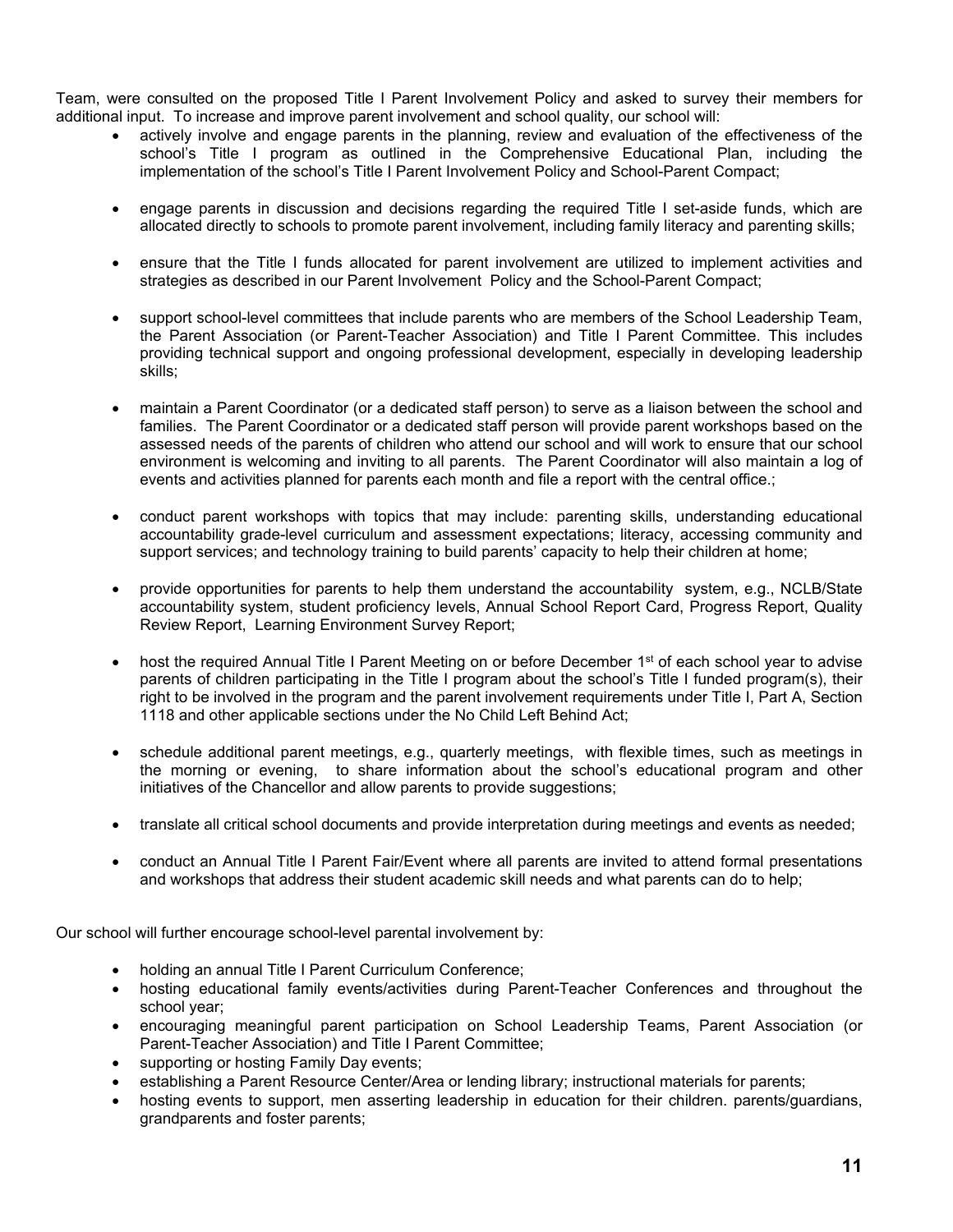Team, were consulted on the proposed Title I Parent Involvement Policy and asked to survey their members for additional input. To increase and improve parent involvement and school quality, our school will:

- actively involve and engage parents in the planning, review and evaluation of the effectiveness of the school's Title I program as outlined in the Comprehensive Educational Plan, including the implementation of the school's Title I Parent Involvement Policy and School-Parent Compact;
- engage parents in discussion and decisions regarding the required Title I set-aside funds, which are allocated directly to schools to promote parent involvement, including family literacy and parenting skills;
- ensure that the Title I funds allocated for parent involvement are utilized to implement activities and strategies as described in our Parent Involvement Policy and the School-Parent Compact;
- support school-level committees that include parents who are members of the School Leadership Team, the Parent Association (or Parent-Teacher Association) and Title I Parent Committee. This includes providing technical support and ongoing professional development, especially in developing leadership skills;
- maintain a Parent Coordinator (or a dedicated staff person) to serve as a liaison between the school and families. The Parent Coordinator or a dedicated staff person will provide parent workshops based on the assessed needs of the parents of children who attend our school and will work to ensure that our school environment is welcoming and inviting to all parents. The Parent Coordinator will also maintain a log of events and activities planned for parents each month and file a report with the central office.;
- conduct parent workshops with topics that may include: parenting skills, understanding educational accountability grade-level curriculum and assessment expectations; literacy, accessing community and support services; and technology training to build parents' capacity to help their children at home;
- provide opportunities for parents to help them understand the accountability system, e.g., NCLB/State accountability system, student proficiency levels, Annual School Report Card, Progress Report, Quality Review Report, Learning Environment Survey Report;
- host the required Annual Title I Parent Meeting on or before December  $1<sup>st</sup>$  of each school year to advise parents of children participating in the Title I program about the school's Title I funded program(s), their right to be involved in the program and the parent involvement requirements under Title I, Part A, Section 1118 and other applicable sections under the No Child Left Behind Act;
- schedule additional parent meetings, e.g., quarterly meetings, with flexible times, such as meetings in the morning or evening, to share information about the school's educational program and other initiatives of the Chancellor and allow parents to provide suggestions;
- translate all critical school documents and provide interpretation during meetings and events as needed;
- conduct an Annual Title I Parent Fair/Event where all parents are invited to attend formal presentations and workshops that address their student academic skill needs and what parents can do to help;

Our school will further encourage school-level parental involvement by:

- holding an annual Title I Parent Curriculum Conference;
- hosting educational family events/activities during Parent-Teacher Conferences and throughout the school year;
- encouraging meaningful parent participation on School Leadership Teams, Parent Association (or Parent-Teacher Association) and Title I Parent Committee;
- supporting or hosting Family Day events;
- establishing a Parent Resource Center/Area or lending library; instructional materials for parents;
- hosting events to support, men asserting leadership in education for their children. parents/guardians, grandparents and foster parents;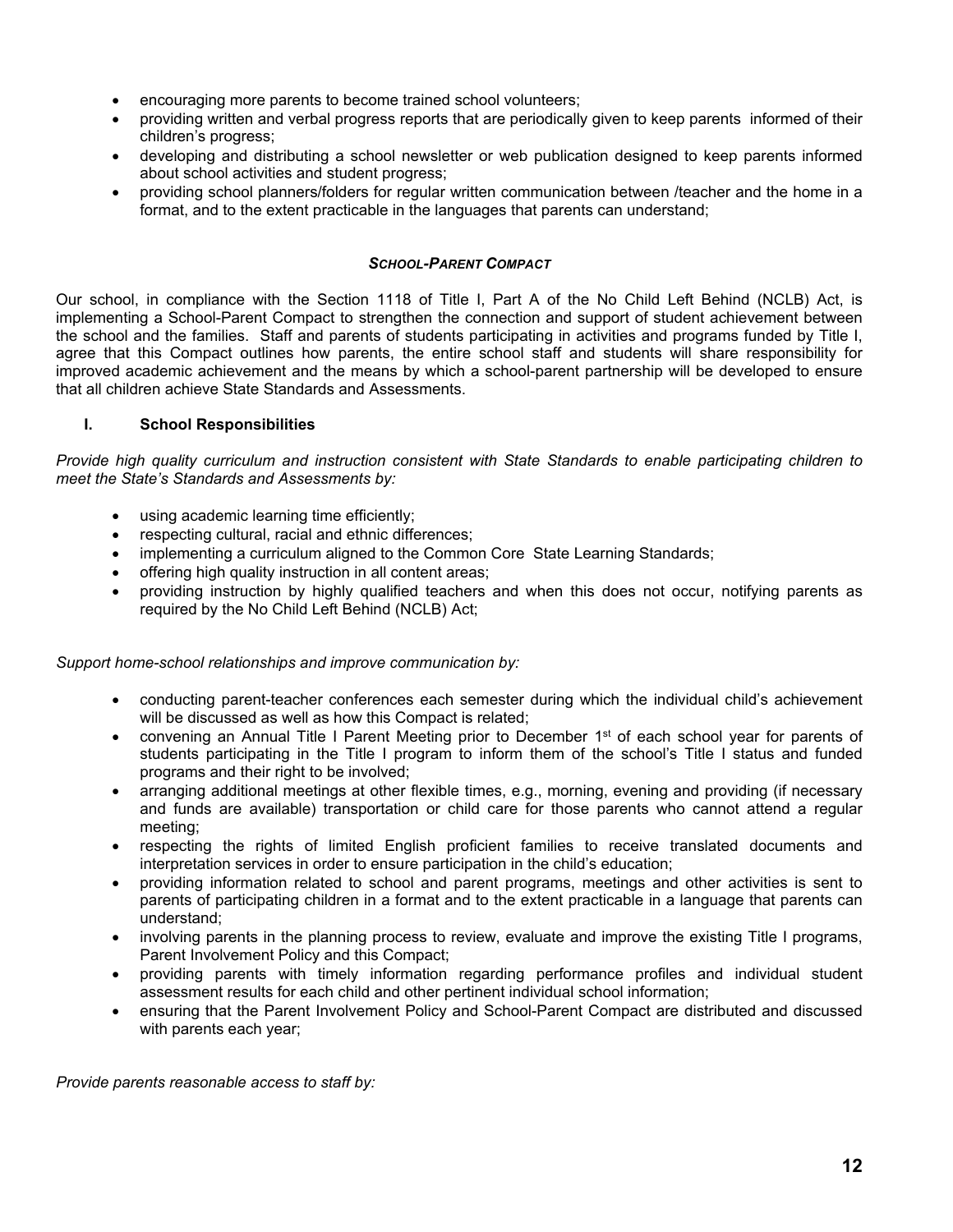- encouraging more parents to become trained school volunteers;
- providing written and verbal progress reports that are periodically given to keep parents informed of their children's progress;
- developing and distributing a school newsletter or web publication designed to keep parents informed about school activities and student progress;
- providing school planners/folders for regular written communication between /teacher and the home in a format, and to the extent practicable in the languages that parents can understand;

#### *SCHOOL-PARENT COMPACT*

Our school, in compliance with the Section 1118 of Title I, Part A of the No Child Left Behind (NCLB) Act, is implementing a School-Parent Compact to strengthen the connection and support of student achievement between the school and the families. Staff and parents of students participating in activities and programs funded by Title I, agree that this Compact outlines how parents, the entire school staff and students will share responsibility for improved academic achievement and the means by which a school-parent partnership will be developed to ensure that all children achieve State Standards and Assessments.

#### **I. School Responsibilities**

*Provide high quality curriculum and instruction consistent with State Standards to enable participating children to meet the State's Standards and Assessments by:*

- using academic learning time efficiently;
- respecting cultural, racial and ethnic differences;
- implementing a curriculum aligned to the Common Core State Learning Standards;
- offering high quality instruction in all content areas;
- providing instruction by highly qualified teachers and when this does not occur, notifying parents as required by the No Child Left Behind (NCLB) Act;

#### *Support home-school relationships and improve communication by:*

- conducting parent-teacher conferences each semester during which the individual child's achievement will be discussed as well as how this Compact is related;
- convening an Annual Title I Parent Meeting prior to December 1<sup>st</sup> of each school year for parents of students participating in the Title I program to inform them of the school's Title I status and funded programs and their right to be involved;
- arranging additional meetings at other flexible times, e.g., morning, evening and providing (if necessary and funds are available) transportation or child care for those parents who cannot attend a regular meeting;
- respecting the rights of limited English proficient families to receive translated documents and interpretation services in order to ensure participation in the child's education;
- providing information related to school and parent programs, meetings and other activities is sent to parents of participating children in a format and to the extent practicable in a language that parents can understand;
- involving parents in the planning process to review, evaluate and improve the existing Title I programs, Parent Involvement Policy and this Compact;
- providing parents with timely information regarding performance profiles and individual student assessment results for each child and other pertinent individual school information;
- ensuring that the Parent Involvement Policy and School-Parent Compact are distributed and discussed with parents each year;

*Provide parents reasonable access to staff by:*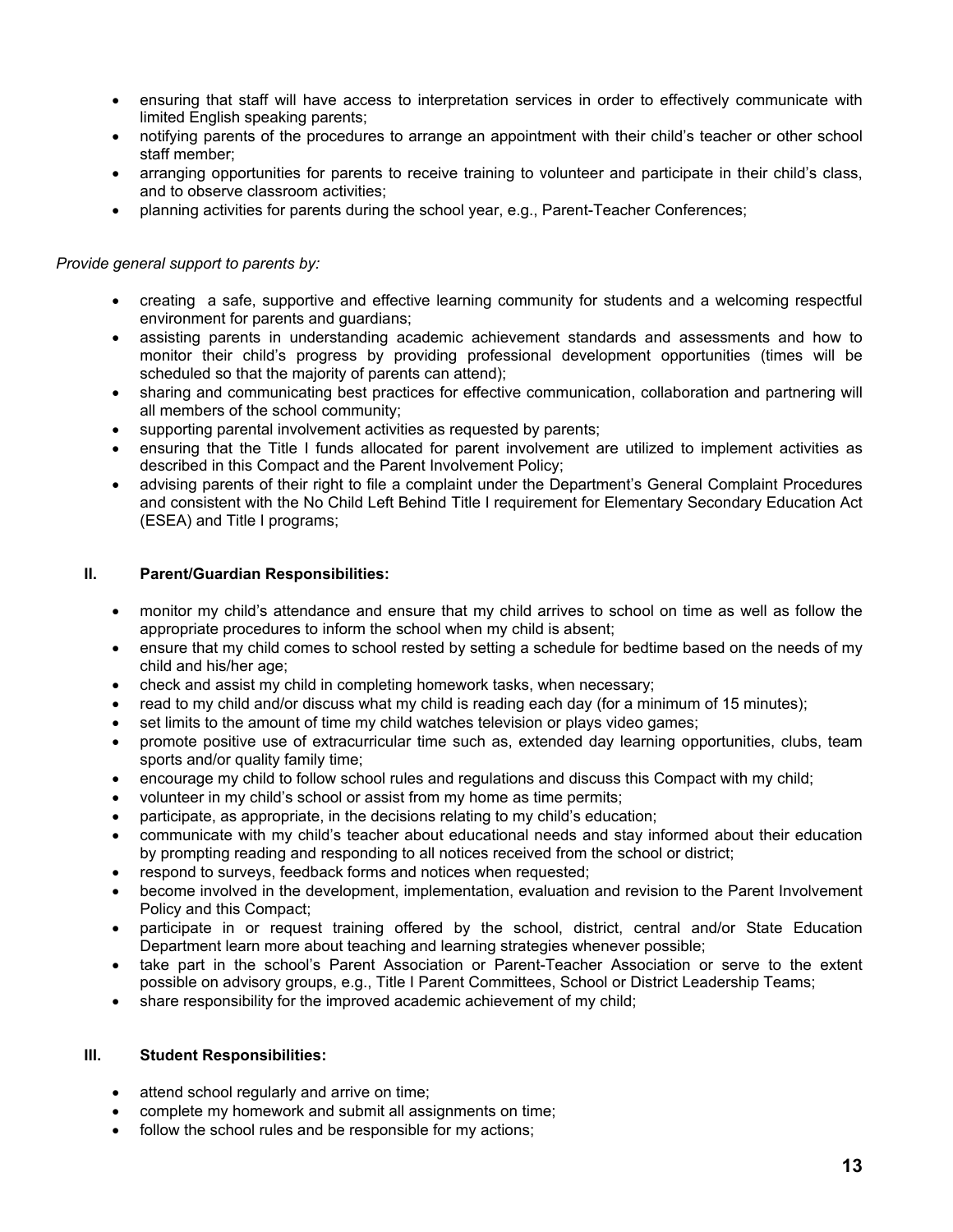- ensuring that staff will have access to interpretation services in order to effectively communicate with limited English speaking parents;
- notifying parents of the procedures to arrange an appointment with their child's teacher or other school staff member;
- arranging opportunities for parents to receive training to volunteer and participate in their child's class, and to observe classroom activities;
- planning activities for parents during the school year, e.g., Parent-Teacher Conferences;

#### *Provide general support to parents by:*

- creating a safe, supportive and effective learning community for students and a welcoming respectful environment for parents and guardians;
- assisting parents in understanding academic achievement standards and assessments and how to monitor their child's progress by providing professional development opportunities (times will be scheduled so that the majority of parents can attend);
- sharing and communicating best practices for effective communication, collaboration and partnering will all members of the school community;
- supporting parental involvement activities as requested by parents;
- ensuring that the Title I funds allocated for parent involvement are utilized to implement activities as described in this Compact and the Parent Involvement Policy;
- advising parents of their right to file a complaint under the Department's General Complaint Procedures and consistent with the No Child Left Behind Title I requirement for Elementary Secondary Education Act (ESEA) and Title I programs;

#### **II. Parent/Guardian Responsibilities:**

- monitor my child's attendance and ensure that my child arrives to school on time as well as follow the appropriate procedures to inform the school when my child is absent;
- ensure that my child comes to school rested by setting a schedule for bedtime based on the needs of my child and his/her age;
- check and assist my child in completing homework tasks, when necessary;
- read to my child and/or discuss what my child is reading each day (for a minimum of 15 minutes);
- set limits to the amount of time my child watches television or plays video games;
- promote positive use of extracurricular time such as, extended day learning opportunities, clubs, team sports and/or quality family time;
- encourage my child to follow school rules and regulations and discuss this Compact with my child;
- volunteer in my child's school or assist from my home as time permits;
- participate, as appropriate, in the decisions relating to my child's education;
- communicate with my child's teacher about educational needs and stay informed about their education by prompting reading and responding to all notices received from the school or district;
- respond to surveys, feedback forms and notices when requested;
- become involved in the development, implementation, evaluation and revision to the Parent Involvement Policy and this Compact;
- participate in or request training offered by the school, district, central and/or State Education Department learn more about teaching and learning strategies whenever possible;
- take part in the school's Parent Association or Parent-Teacher Association or serve to the extent possible on advisory groups, e.g., Title I Parent Committees, School or District Leadership Teams;
- share responsibility for the improved academic achievement of my child;

#### **III. Student Responsibilities:**

- attend school regularly and arrive on time;
- complete my homework and submit all assignments on time;
- follow the school rules and be responsible for my actions;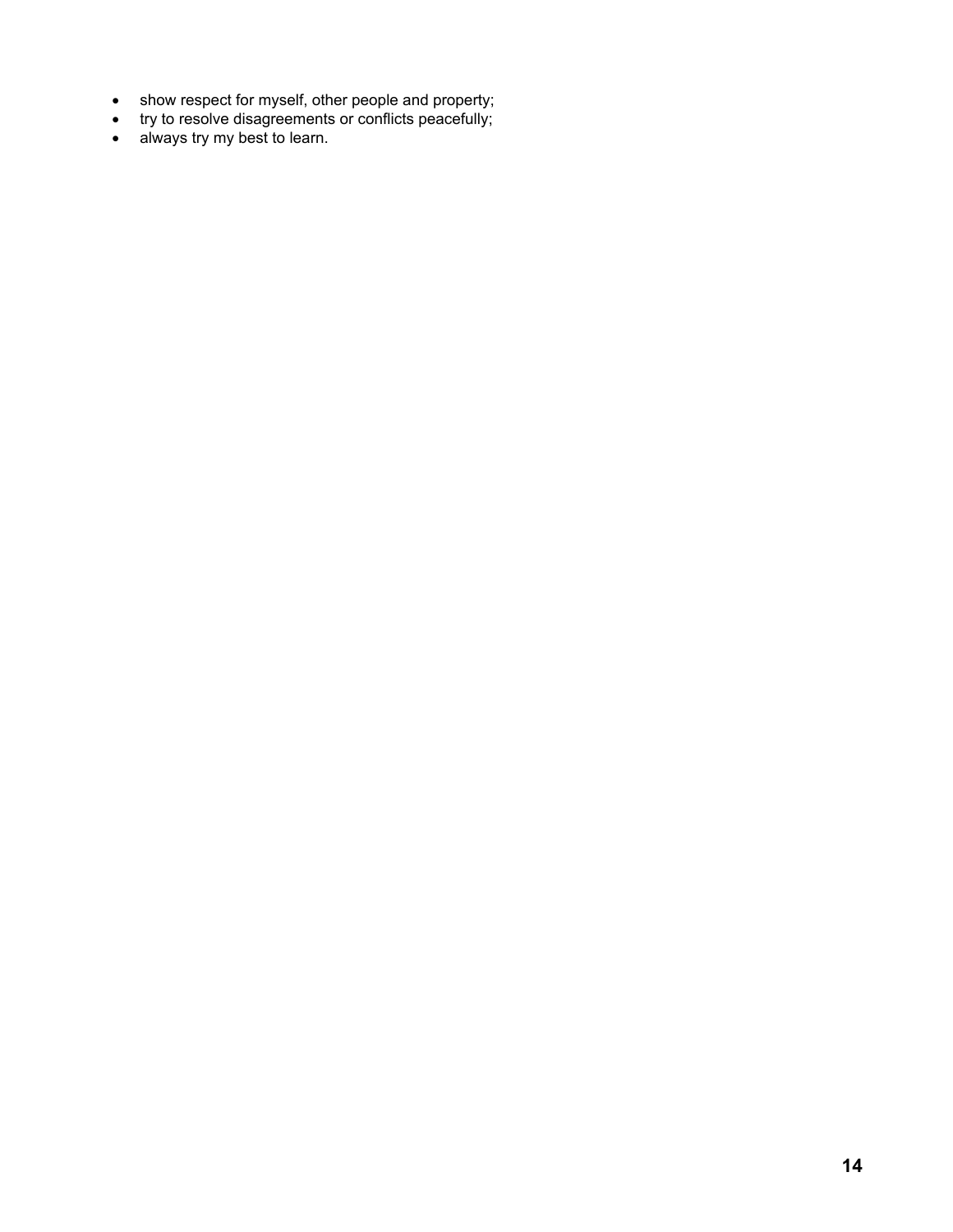- show respect for myself, other people and property;
- try to resolve disagreements or conflicts peacefully;
- always try my best to learn.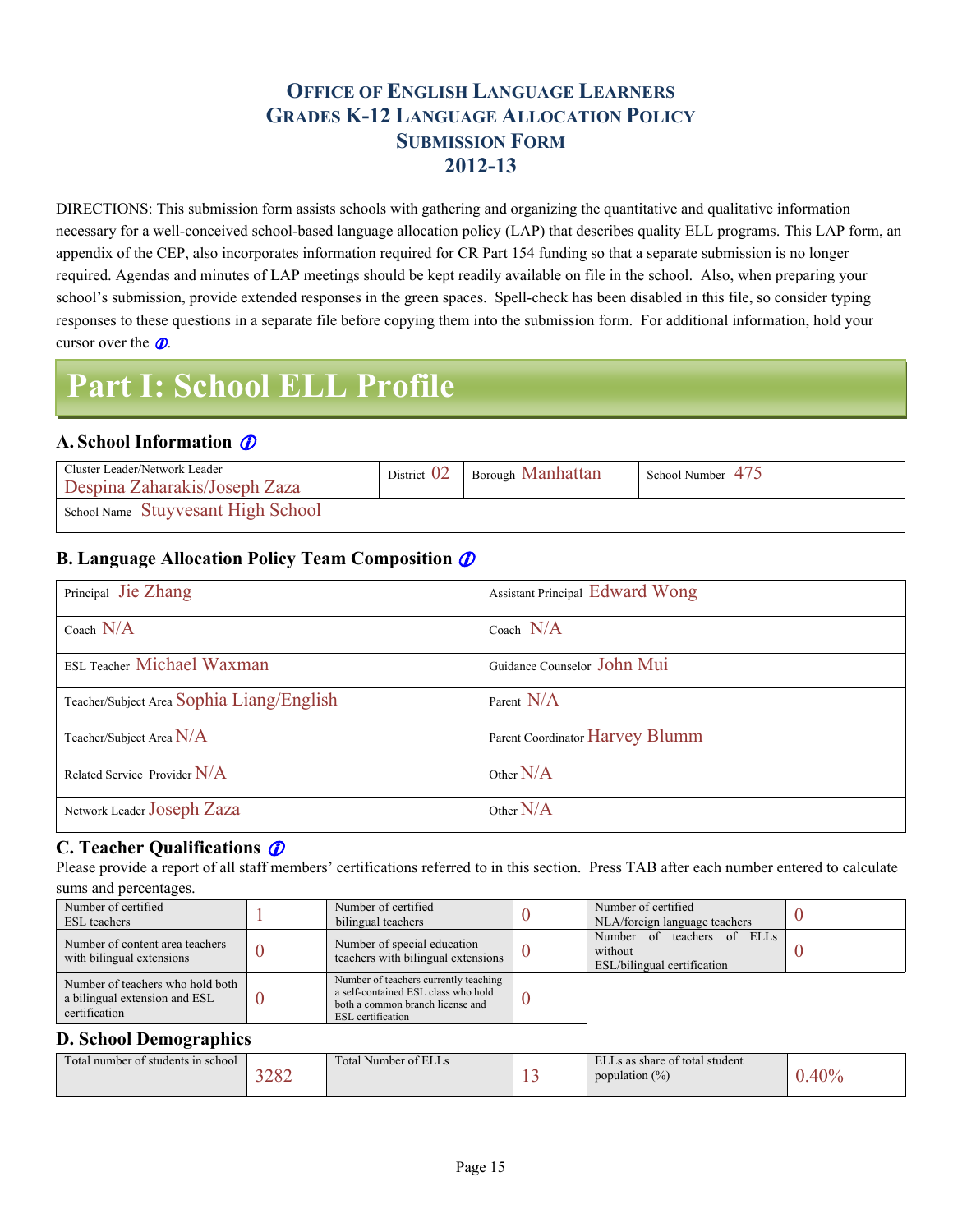### **OFFICE OF ENGLISH LANGUAGE LEARNERS GRADES K-12 LANGUAGE ALLOCATION POLICY SUBMISSION FORM 2012-13**

DIRECTIONS: This submission form assists schools with gathering and organizing the quantitative and qualitative information necessary for a well-conceived school-based language allocation policy (LAP) that describes quality ELL programs. This LAP form, an appendix of the CEP, also incorporates information required for CR Part 154 funding so that a separate submission is no longer required. Agendas and minutes of LAP meetings should be kept readily available on file in the school. Also, when preparing your school's submission, provide extended responses in the green spaces. Spell-check has been disabled in this file, so consider typing responses to these questions in a separate file before copying them into the submission form. For additional information, hold your cursor over the  $\mathcal{D}$ .

## **Part I: School ELL Profile**

#### **A. School Information**

<span id="page-14-0"></span>

| Cluster Leader/Network Leader<br>Despina Zaharakis/Joseph Zaza | District $02$ | <b>Borough Manhattan</b> | School Number 475 |
|----------------------------------------------------------------|---------------|--------------------------|-------------------|
| School Name Stuyvesant High School                             |               |                          |                   |

#### **B. Language Allocation Policy Team Composition**

| Principal Jie Zhang                       | <b>Assistant Principal Edward Wong</b> |
|-------------------------------------------|----------------------------------------|
| Coach $N/A$                               | Coach $N/A$                            |
| <b>ESL Teacher Michael Waxman</b>         | Guidance Counselor John Mui            |
| Teacher/Subject Area Sophia Liang/English | Parent N/A                             |
| Teacher/Subject Area $N/A$                | Parent Coordinator Harvey Blumm        |
| Related Service Provider $N/A$            | Other $N/A$                            |
| Network Leader JOSeph Zaza                | Other $N/A$                            |

#### **C. Teacher Qualifications**

Please provide a report of all staff members' certifications referred to in this section. Press TAB after each number entered to calculate sums and percentages.

<span id="page-14-1"></span>

| Number of certified<br><b>ESL</b> teachers                                         | Number of certified<br>bilingual teachers                                                                                                    | Number of certified<br>NLA/foreign language teachers                    |  |
|------------------------------------------------------------------------------------|----------------------------------------------------------------------------------------------------------------------------------------------|-------------------------------------------------------------------------|--|
| Number of content area teachers<br>with bilingual extensions                       | Number of special education<br>teachers with bilingual extensions                                                                            | of ELLs<br>Number of teachers<br>without<br>ESL/bilingual certification |  |
| Number of teachers who hold both<br>a bilingual extension and ESL<br>certification | Number of teachers currently teaching<br>a self-contained ESL class who hold<br>both a common branch license and<br><b>ESL</b> certification |                                                                         |  |

#### **D. School Demographics**

| <b>CONTINUES</b><br>Fotal number of students in school<br>2000 | Total.<br>Number of ELLS | -- | ELLs as share of total student<br>population $(\%)$ | $\Omega$ |
|----------------------------------------------------------------|--------------------------|----|-----------------------------------------------------|----------|
|----------------------------------------------------------------|--------------------------|----|-----------------------------------------------------|----------|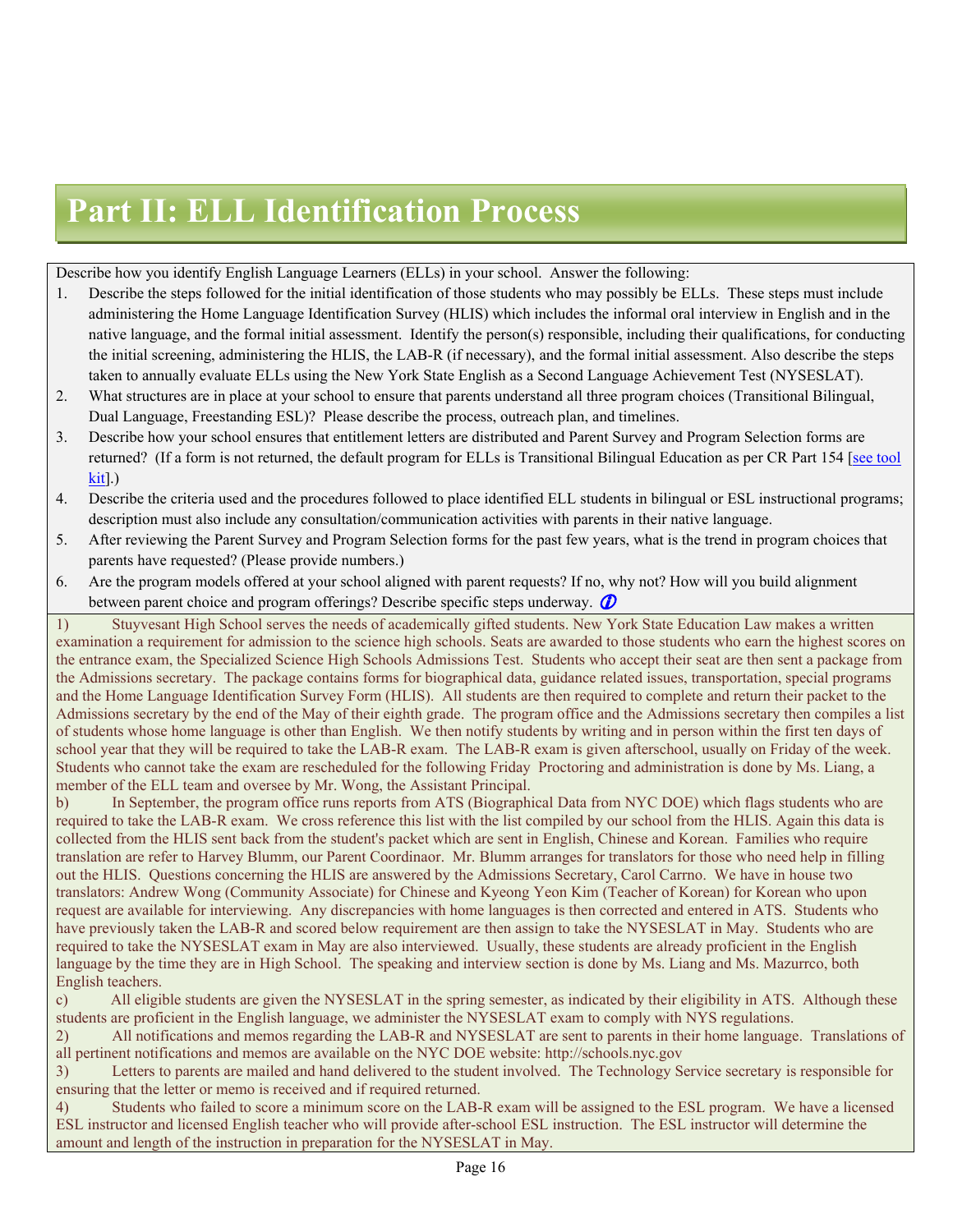## **Part II: ELL Identification Process**

Describe how you identify English Language Learners (ELLs) in your school. Answer the following:

- 1. Describe the steps followed for the initial identification of those students who may possibly be ELLs. These steps must include administering the Home Language Identification Survey (HLIS) which includes the informal oral interview in English and in the native language, and the formal initial assessment. Identify the person(s) responsible, including their qualifications, for conducting the initial screening, administering the HLIS, the LAB-R (if necessary), and the formal initial assessment. Also describe the steps taken to annually evaluate ELLs using the New York State English as a Second Language Achievement Test (NYSESLAT).
- 2. What structures are in place at your school to ensure that parents understand all three program choices (Transitional Bilingual, Dual Language, Freestanding ESL)? Please describe the process, outreach plan, and timelines.
- 3. Describe how your school ensures that entitlement letters are distributed and Parent Survey and Program Selection forms are returned? (If a form is not returned, the default program for ELLs is Transitional Bilingual Education as per CR Part 154 [\[see](http://schools.nyc.gov/Academics/ELL/KeyDocuments/Language+Allocation+Policy.htm) [tool](http://schools.nyc.gov/Academics/ELL/KeyDocuments/Language+Allocation+Policy.htm) [kit\]](http://schools.nyc.gov/Academics/ELL/KeyDocuments/Language+Allocation+Policy.htm).)
- 4. Describe the criteria used and the procedures followed to place identified ELL students in bilingual or ESL instructional programs; description must also include any consultation/communication activities with parents in their native language.
- 5. After reviewing the Parent Survey and Program Selection forms for the past few years, what is the trend in program choices that parents have requested? (Please provide numbers.)
- 6. Are the program models offered at your school aligned with parent requests? If no, why not? How will you build alignment between parent choice and program offerings? Describe specific steps underway.  $\mathbf{\Omega}$

<span id="page-15-0"></span>1) Stuyvesant High School serves the needs of academically gifted students. New York State Education Law makes a written examination a requirement for admission to the science high schools. Seats are awarded to those students who earn the highest scores on the entrance exam, the Specialized Science High Schools Admissions Test. Students who accept their seat are then sent a package from the Admissions secretary. The package contains forms for biographical data, guidance related issues, transportation, special programs and the Home Language Identification Survey Form (HLIS). All students are then required to complete and return their packet to the Admissions secretary by the end of the May of their eighth grade. The program office and the Admissions secretary then compiles a list of students whose home language is other than English. We then notify students by writing and in person within the first ten days of school year that they will be required to take the LAB-R exam. The LAB-R exam is given afterschool, usually on Friday of the week. Students who cannot take the exam are rescheduled for the following Friday Proctoring and administration is done by Ms. Liang, a member of the ELL team and oversee by Mr. Wong, the Assistant Principal.

b) In September, the program office runs reports from ATS (Biographical Data from NYC DOE) which flags students who are required to take the LAB-R exam. We cross reference this list with the list compiled by our school from the HLIS. Again this data is collected from the HLIS sent back from the student's packet which are sent in English, Chinese and Korean. Families who require translation are refer to Harvey Blumm, our Parent Coordinaor. Mr. Blumm arranges for translators for those who need help in filling out the HLIS. Questions concerning the HLIS are answered by the Admissions Secretary, Carol Carrno. We have in house two translators: Andrew Wong (Community Associate) for Chinese and Kyeong Yeon Kim (Teacher of Korean) for Korean who upon request are available for interviewing. Any discrepancies with home languages is then corrected and entered in ATS. Students who have previously taken the LAB-R and scored below requirement are then assign to take the NYSESLAT in May. Students who are required to take the NYSESLAT exam in May are also interviewed. Usually, these students are already proficient in the English language by the time they are in High School. The speaking and interview section is done by Ms. Liang and Ms. Mazurrco, both English teachers.

c) All eligible students are given the NYSESLAT in the spring semester, as indicated by their eligibility in ATS. Although these students are proficient in the English language, we administer the NYSESLAT exam to comply with NYS regulations.

2) All notifications and memos regarding the LAB-R and NYSESLAT are sent to parents in their home language. Translations of all pertinent notifications and memos are available on the NYC DOE website: http://schools.nyc.gov

3) Letters to parents are mailed and hand delivered to the student involved. The Technology Service secretary is responsible for ensuring that the letter or memo is received and if required returned.

4) Students who failed to score a minimum score on the LAB-R exam will be assigned to the ESL program. We have a licensed ESL instructor and licensed English teacher who will provide after-school ESL instruction. The ESL instructor will determine the amount and length of the instruction in preparation for the NYSESLAT in May.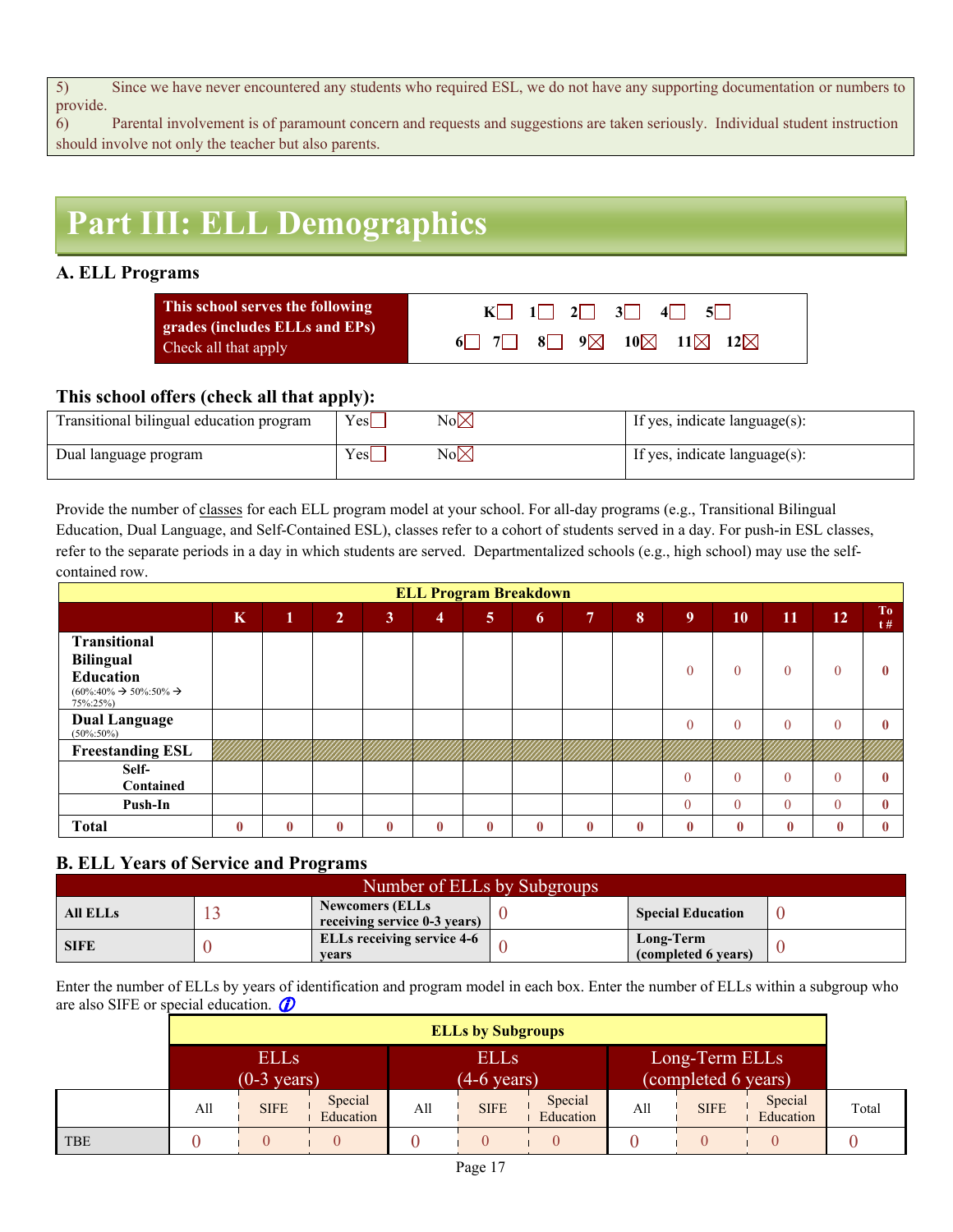5) Since we have never encountered any students who required ESL, we do not have any supporting documentation or numbers to provide.

6) Parental involvement is of paramount concern and requests and suggestions are taken seriously. Individual student instruction should involve not only the teacher but also parents.

# **Part III: ELL Demographics**

#### **A. ELL Programs**

| This school serves the following                       | $K$ 1 2 3 4 5 |
|--------------------------------------------------------|---------------|
| grades (includes ELLs and EPs)<br>Check all that apply |               |

#### **This school offers (check all that apply):**

| Transitional bilingual education program | Yes | No⊠  | If yes, indicate language(s): |
|------------------------------------------|-----|------|-------------------------------|
| Dual language program                    | Yes | No∣X | If yes, indicate language(s): |

Provide the number of classes for each ELL program model at your school. For all-day programs (e.g., Transitional Bilingual Education, Dual Language, and Self-Contained ESL), classes refer to a cohort of students served in a day. For push-in ESL classes, refer to the separate periods in a day in which students are served. Departmentalized schools (e.g., high school) may use the selfcontained row.

| <b>ELL Program Breakdown</b>                                            |          |          |                |              |                |                |          |                |          |                |          |              |          |              |
|-------------------------------------------------------------------------|----------|----------|----------------|--------------|----------------|----------------|----------|----------------|----------|----------------|----------|--------------|----------|--------------|
|                                                                         | $\bf K$  | $\bf 1$  | $\overline{2}$ | $\mathbf{3}$ | $\overline{4}$ | 5 <sup>5</sup> | 6        | 7 <sup>7</sup> | 8        | 9 <sup>°</sup> | 10       | 11           | 12       | To<br>t#     |
| <b>Transitional</b><br><b>Bilingual</b>                                 |          |          |                |              |                |                |          |                |          |                |          |              |          |              |
| Education<br>$(60\%:40\% \rightarrow 50\%:50\% \rightarrow$<br>75%:25%) |          |          |                |              |                |                |          |                |          | $\theta$       | $\theta$ | $\theta$     |          | 0            |
| <b>Dual Language</b><br>$(50\% : 50\%)$                                 |          |          |                |              |                |                |          |                |          | $\theta$       | $\theta$ | $\theta$     |          | 0            |
| <b>Freestanding ESL</b>                                                 |          |          |                |              |                |                |          |                |          |                |          |              |          |              |
| Self-<br>Contained                                                      |          |          |                |              |                |                |          |                |          | $\overline{0}$ | $\theta$ | $\theta$     |          |              |
| Push-In                                                                 |          |          |                |              |                |                |          |                |          | $\theta$       | $\theta$ | $\theta$     | $\Omega$ | $\mathbf{0}$ |
| Total                                                                   | $\bf{0}$ | $\bf{0}$ | $\bf{0}$       | $\bf{0}$     | $\mathbf{0}$   | $\bf{0}$       | $\bf{0}$ | 0              | $\bf{0}$ | $\bf{0}$       | $\bf{0}$ | $\mathbf{0}$ | 0        | $\bf{0}$     |

#### **B. ELL Years of Service and Programs**

| Number of ELLs by Subgroups |  |                                                        |  |                                  |  |  |  |  |  |
|-----------------------------|--|--------------------------------------------------------|--|----------------------------------|--|--|--|--|--|
| <b>All ELLs</b>             |  | <b>Newcomers (ELLs</b><br>receiving service 0-3 years) |  | <b>Special Education</b>         |  |  |  |  |  |
| <b>SIFE</b>                 |  | <b>ELLs receiving service 4-6</b><br>vears             |  | Long-Term<br>(completed 6 years) |  |  |  |  |  |

Enter the number of ELLs by years of identification and program model in each box. Enter the number of ELLs within a subgroup who are also SIFE or special education.

<span id="page-16-0"></span>

|            |     | <b>ELLs by Subgroups</b>             |                      |     |                                      |                      |                                       |             |                      |       |  |  |
|------------|-----|--------------------------------------|----------------------|-----|--------------------------------------|----------------------|---------------------------------------|-------------|----------------------|-------|--|--|
|            |     | <b>ELLS</b><br>$(0-3 \text{ years})$ |                      |     | <b>ELLS</b><br>$(4-6 \text{ years})$ |                      | Long-Term ELLs<br>(completed 6 years) |             |                      |       |  |  |
|            | All | <b>SIFE</b>                          | Special<br>Education | All | <b>SIFE</b>                          | Special<br>Education | A11                                   | <b>SIFE</b> | Special<br>Education | Total |  |  |
| <b>TBE</b> |     |                                      |                      |     |                                      |                      |                                       |             |                      |       |  |  |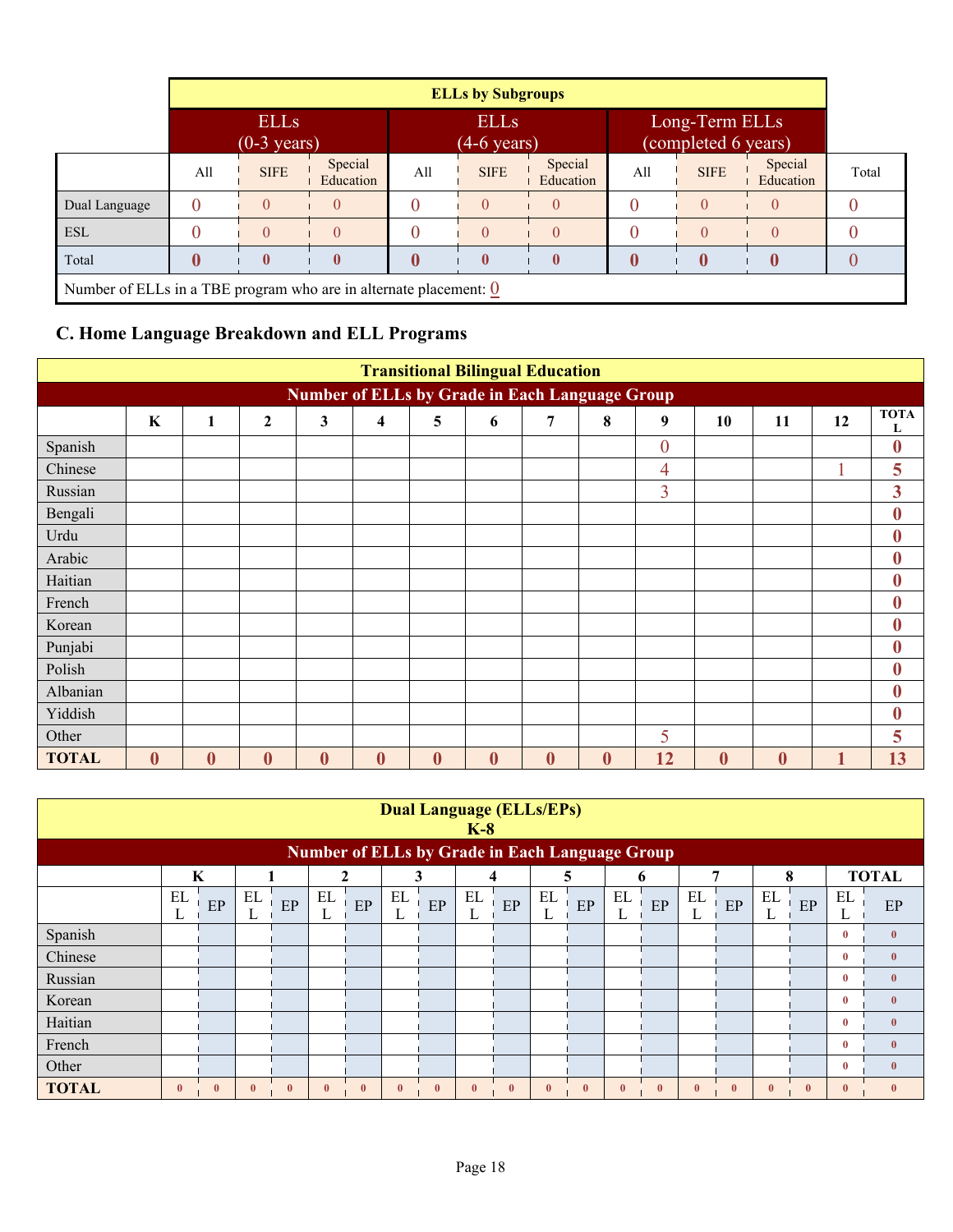|                                                                                |          | <b>ELLs by Subgroups</b>             |                      |     |                                      |                      |     |                                       |                      |       |  |  |
|--------------------------------------------------------------------------------|----------|--------------------------------------|----------------------|-----|--------------------------------------|----------------------|-----|---------------------------------------|----------------------|-------|--|--|
|                                                                                |          | <b>ELLS</b><br>$(0-3 \text{ years})$ |                      |     | <b>ELLs</b><br>$(4-6 \text{ years})$ |                      |     | Long-Term ELLs<br>(completed 6 years) |                      |       |  |  |
|                                                                                | All      | <b>SIFE</b>                          | Special<br>Education | All | <b>SIFE</b>                          | Special<br>Education | All | <b>SIFE</b>                           | Special<br>Education | Total |  |  |
| Dual Language                                                                  | $\theta$ | $\left( \right)$                     | $\theta$             |     |                                      |                      |     |                                       |                      |       |  |  |
| <b>ESL</b>                                                                     | 0        | $\theta$                             | $\Omega$             |     |                                      |                      |     |                                       |                      |       |  |  |
| Total                                                                          | 0        | $\mathbf{0}$<br>$\bf{0}$<br>$\bf{0}$ |                      |     |                                      |                      |     |                                       |                      |       |  |  |
| Number of ELLs in a TBE program who are in alternate placement: $\overline{0}$ |          |                                      |                      |     |                                      |                      |     |                                       |                      |       |  |  |

## **C. Home Language Breakdown and ELL Programs**

|                                                       | <b>Transitional Bilingual Education</b> |                  |                  |                  |                  |                  |                  |                  |          |                  |                  |          |    |                  |
|-------------------------------------------------------|-----------------------------------------|------------------|------------------|------------------|------------------|------------------|------------------|------------------|----------|------------------|------------------|----------|----|------------------|
| <b>Number of ELLs by Grade in Each Language Group</b> |                                         |                  |                  |                  |                  |                  |                  |                  |          |                  |                  |          |    |                  |
|                                                       | K                                       | 1                | $\overline{2}$   | 3                | 4                | 5                | 6                | 7                | 8        | 9                | 10               | 11       | 12 | <b>TOTA</b><br>L |
| Spanish                                               |                                         |                  |                  |                  |                  |                  |                  |                  |          | $\boldsymbol{0}$ |                  |          |    | $\boldsymbol{0}$ |
| Chinese                                               |                                         |                  |                  |                  |                  |                  |                  |                  |          | $\overline{4}$   |                  |          |    | 5                |
| Russian                                               |                                         |                  |                  |                  |                  |                  |                  |                  |          | $\overline{3}$   |                  |          |    | 3                |
| Bengali                                               |                                         |                  |                  |                  |                  |                  |                  |                  |          |                  |                  |          |    | $\bf{0}$         |
| Urdu                                                  |                                         |                  |                  |                  |                  |                  |                  |                  |          |                  |                  |          |    | $\bf{0}$         |
| Arabic                                                |                                         |                  |                  |                  |                  |                  |                  |                  |          |                  |                  |          |    | $\bf{0}$         |
| Haitian                                               |                                         |                  |                  |                  |                  |                  |                  |                  |          |                  |                  |          |    | $\bf{0}$         |
| French                                                |                                         |                  |                  |                  |                  |                  |                  |                  |          |                  |                  |          |    | $\bf{0}$         |
| Korean                                                |                                         |                  |                  |                  |                  |                  |                  |                  |          |                  |                  |          |    | $\bf{0}$         |
| Punjabi                                               |                                         |                  |                  |                  |                  |                  |                  |                  |          |                  |                  |          |    | $\bf{0}$         |
| Polish                                                |                                         |                  |                  |                  |                  |                  |                  |                  |          |                  |                  |          |    | $\bf{0}$         |
| Albanian                                              |                                         |                  |                  |                  |                  |                  |                  |                  |          |                  |                  |          |    | $\bf{0}$         |
| Yiddish                                               |                                         |                  |                  |                  |                  |                  |                  |                  |          |                  |                  |          |    | $\bf{0}$         |
| Other                                                 |                                         |                  |                  |                  |                  |                  |                  |                  |          | 5                |                  |          |    | 5                |
| <b>TOTAL</b>                                          | $\boldsymbol{0}$                        | $\boldsymbol{0}$ | $\boldsymbol{0}$ | $\boldsymbol{0}$ | $\boldsymbol{0}$ | $\boldsymbol{0}$ | $\boldsymbol{0}$ | $\boldsymbol{0}$ | $\bf{0}$ | 12               | $\boldsymbol{0}$ | $\bf{0}$ |    | 13               |

|              | <b>Dual Language (ELLs/EPs)</b><br>$K-8$                                              |              |              |              |              |                                                       |                         |              |              |          |              |              |              |          |                                 |              |              |              |              |              |
|--------------|---------------------------------------------------------------------------------------|--------------|--------------|--------------|--------------|-------------------------------------------------------|-------------------------|--------------|--------------|----------|--------------|--------------|--------------|----------|---------------------------------|--------------|--------------|--------------|--------------|--------------|
|              |                                                                                       |              |              |              |              | <b>Number of ELLs by Grade in Each Language Group</b> |                         |              |              |          |              |              |              |          |                                 |              |              |              |              |              |
|              | <b>TOTAL</b><br>8<br>K<br>7<br>3<br>$\mathbf{2}$<br>5<br>$\overline{\mathbf{4}}$<br>6 |              |              |              |              |                                                       |                         |              |              |          |              |              |              |          |                                 |              |              |              |              |              |
|              | EL<br>L                                                                               | $\rm EP$     | EL<br>L      | $\rm EP$     | EL<br>L      | $\rm EP$                                              | EL<br>$\mathbf{r}$<br>┺ | $\rm EP$     | EL<br>L      | $\rm EP$ | EL<br>L      | $\rm EP$     | EL<br>L      | $\rm EP$ | $\mathop{\rm EL}\nolimits$<br>┺ | EP           | EL<br>┺      | EP           | EL<br>┶      | EP           |
| Spanish      |                                                                                       |              |              |              |              |                                                       |                         |              |              |          |              |              |              |          |                                 |              |              |              | $\bf{0}$     | $\mathbf{0}$ |
| Chinese      |                                                                                       |              |              |              |              |                                                       |                         |              |              |          |              |              |              |          |                                 |              |              |              | $\bf{0}$     | $\bf{0}$     |
| Russian      |                                                                                       |              |              |              |              |                                                       |                         |              |              |          |              |              |              |          |                                 |              |              |              | $\mathbf{0}$ | $\mathbf{0}$ |
| Korean       |                                                                                       |              |              |              |              |                                                       |                         |              |              |          |              |              |              |          |                                 |              |              |              | $\bf{0}$     | $\mathbf{0}$ |
| Haitian      |                                                                                       |              |              |              |              |                                                       |                         |              |              |          |              |              |              |          |                                 |              |              |              | $\mathbf{0}$ | $\mathbf{0}$ |
| French       |                                                                                       |              |              |              |              |                                                       |                         |              |              |          |              |              |              |          |                                 |              |              |              | $\bf{0}$     | $\bf{0}$     |
| Other        |                                                                                       |              |              |              |              |                                                       |                         |              |              |          |              |              |              |          |                                 |              |              |              | $\mathbf{0}$ | $\mathbf{0}$ |
| <b>TOTAL</b> | $\mathbf{0}$                                                                          | $\mathbf{0}$ | $\mathbf{0}$ | $\mathbf{0}$ | $\mathbf{0}$ | $\bf{0}$                                              | $\mathbf{0}$            | $\mathbf{0}$ | $\mathbf{0}$ | $\bf{0}$ | $\mathbf{0}$ | $\mathbf{0}$ | $\mathbf{0}$ | $\bf{0}$ | $\mathbf{0}$                    | $\mathbf{0}$ | $\mathbf{0}$ | $\mathbf{0}$ | $\mathbf{0}$ |              |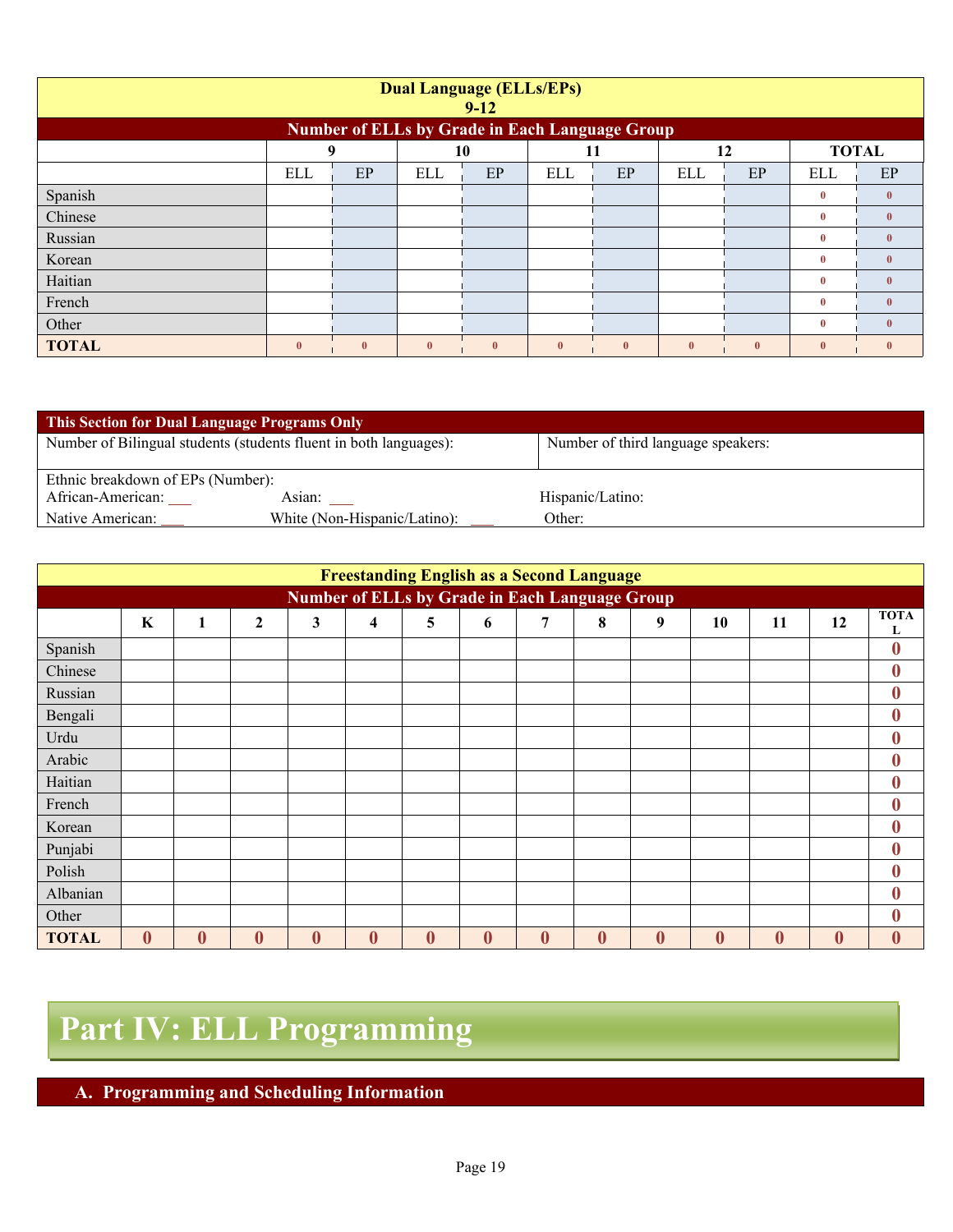| <b>Dual Language (ELLs/EPs)</b><br>$9-12$ |                                                       |              |              |              |              |              |              |              |              |              |  |  |
|-------------------------------------------|-------------------------------------------------------|--------------|--------------|--------------|--------------|--------------|--------------|--------------|--------------|--------------|--|--|
|                                           | <b>Number of ELLs by Grade in Each Language Group</b> |              |              |              |              |              |              |              |              |              |  |  |
|                                           | <b>TOTAL</b><br>9<br>10<br>11<br>12                   |              |              |              |              |              |              |              |              |              |  |  |
|                                           | ELL                                                   | EP           | <b>ELL</b>   | EP           | ELL          | EP           | <b>ELL</b>   | EP           | ELL          | EP           |  |  |
| Spanish                                   |                                                       |              |              |              |              |              |              |              | $\bf{0}$     | $\mathbf{0}$ |  |  |
| Chinese                                   |                                                       |              |              |              |              |              |              |              | $\bf{0}$     | $\mathbf{0}$ |  |  |
| Russian                                   |                                                       |              |              |              |              |              |              |              | $\bf{0}$     | $\mathbf{0}$ |  |  |
| Korean                                    |                                                       |              |              |              |              |              |              |              | $\bf{0}$     | $\mathbf{0}$ |  |  |
| Haitian                                   |                                                       |              |              |              |              |              |              |              | $\bf{0}$     | $\mathbf{0}$ |  |  |
| French                                    |                                                       |              |              |              |              |              |              |              | $\bf{0}$     | $\mathbf{0}$ |  |  |
| Other                                     |                                                       |              |              |              |              |              |              |              | $\mathbf{0}$ | $\mathbf{0}$ |  |  |
| <b>TOTAL</b>                              | $\mathbf{0}$                                          | $\mathbf{0}$ | $\mathbf{0}$ | $\mathbf{0}$ | $\mathbf{0}$ | $\mathbf{0}$ | $\mathbf{0}$ | $\mathbf{0}$ | $\mathbf{0}$ | $\mathbf{0}$ |  |  |

| <b>This Section for Dual Language Programs Only</b> |                                                                   |                                    |
|-----------------------------------------------------|-------------------------------------------------------------------|------------------------------------|
|                                                     | Number of Bilingual students (students fluent in both languages): | Number of third language speakers: |
|                                                     |                                                                   |                                    |
| Ethnic breakdown of EPs (Number):                   |                                                                   |                                    |
| African-American:                                   | Asian:                                                            | Hispanic/Latino:                   |
| Native American:                                    | White (Non-Hispanic/Latino):                                      | Other:                             |

|              | <b>Freestanding English as a Second Language</b>      |          |                  |              |                         |          |          |              |          |          |                  |                  |          |                  |
|--------------|-------------------------------------------------------|----------|------------------|--------------|-------------------------|----------|----------|--------------|----------|----------|------------------|------------------|----------|------------------|
|              | <b>Number of ELLs by Grade in Each Language Group</b> |          |                  |              |                         |          |          |              |          |          |                  |                  |          |                  |
|              | $\mathbf K$                                           | 1        | $\boldsymbol{2}$ | $\mathbf{3}$ | $\overline{\mathbf{4}}$ | 5        | 6        | 7            | 8        | 9        | 10               | 11               | 12       | <b>TOTA</b><br>L |
| Spanish      |                                                       |          |                  |              |                         |          |          |              |          |          |                  |                  |          | $\bf{0}$         |
| Chinese      |                                                       |          |                  |              |                         |          |          |              |          |          |                  |                  |          | $\boldsymbol{0}$ |
| Russian      |                                                       |          |                  |              |                         |          |          |              |          |          |                  |                  |          | $\boldsymbol{0}$ |
| Bengali      |                                                       |          |                  |              |                         |          |          |              |          |          |                  |                  |          | $\boldsymbol{0}$ |
| Urdu         |                                                       |          |                  |              |                         |          |          |              |          |          |                  |                  |          | $\bf{0}$         |
| Arabic       |                                                       |          |                  |              |                         |          |          |              |          |          |                  |                  |          | $\boldsymbol{0}$ |
| Haitian      |                                                       |          |                  |              |                         |          |          |              |          |          |                  |                  |          | $\bf{0}$         |
| French       |                                                       |          |                  |              |                         |          |          |              |          |          |                  |                  |          | $\bf{0}$         |
| Korean       |                                                       |          |                  |              |                         |          |          |              |          |          |                  |                  |          | $\bf{0}$         |
| Punjabi      |                                                       |          |                  |              |                         |          |          |              |          |          |                  |                  |          | $\bf{0}$         |
| Polish       |                                                       |          |                  |              |                         |          |          |              |          |          |                  |                  |          | $\bf{0}$         |
| Albanian     |                                                       |          |                  |              |                         |          |          |              |          |          |                  |                  |          | $\boldsymbol{0}$ |
| Other        |                                                       |          |                  |              |                         |          |          |              |          |          |                  |                  |          | $\mathbf{0}$     |
| <b>TOTAL</b> | $\bf{0}$                                              | $\bf{0}$ | $\boldsymbol{0}$ | $\bf{0}$     | $\boldsymbol{0}$        | $\bf{0}$ | $\bf{0}$ | $\mathbf{0}$ | $\bf{0}$ | $\bf{0}$ | $\boldsymbol{0}$ | $\boldsymbol{0}$ | $\bf{0}$ | $\bf{0}$         |

# **Part IV: ELL Programming**

**A. Programming and Scheduling Information**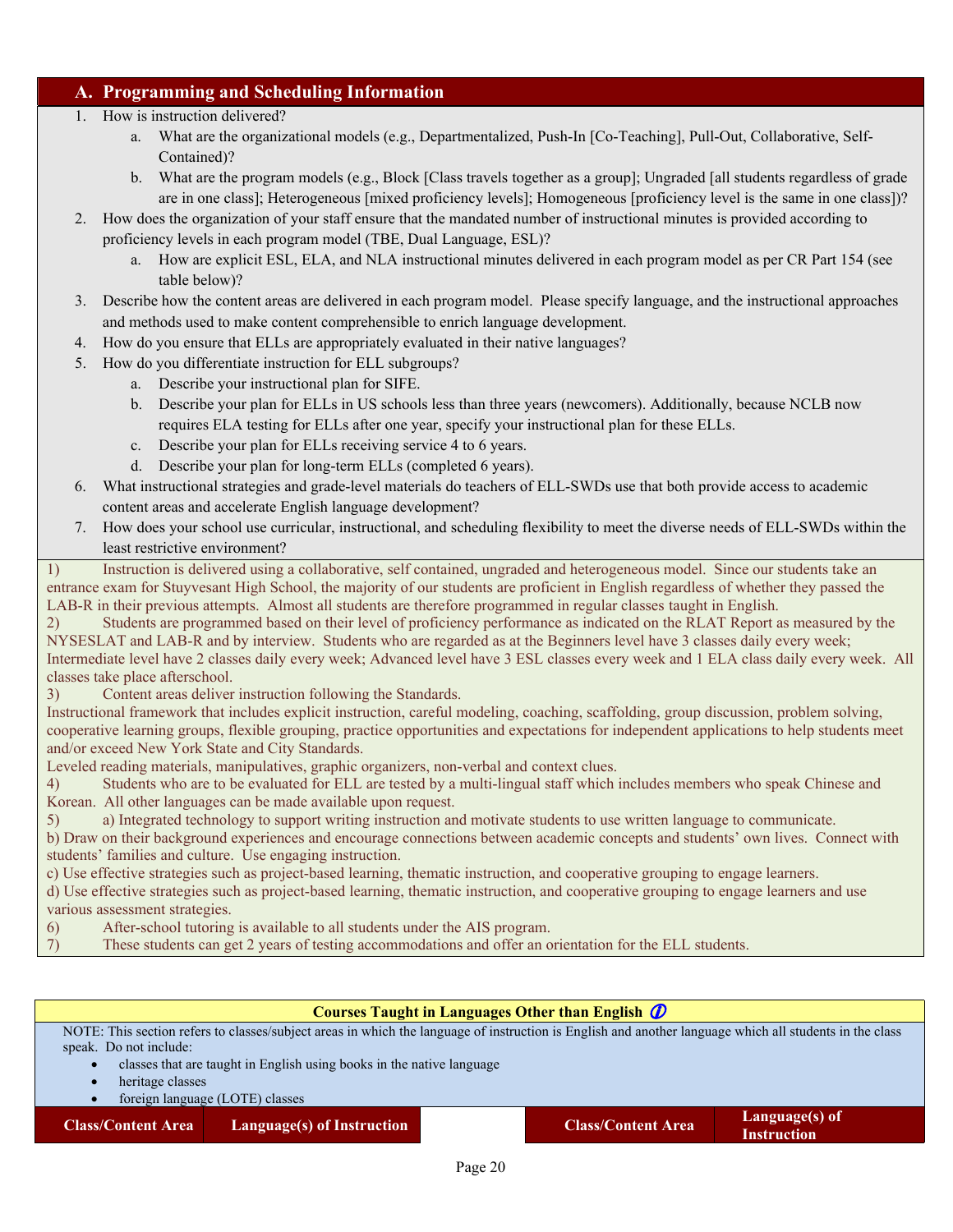#### **A. Programming and Scheduling Information**

- 1. How is instruction delivered?
	- a. What are the organizational models (e.g., Departmentalized, Push-In [Co-Teaching], Pull-Out, Collaborative, Self-Contained)?
	- b. What are the program models (e.g., Block [Class travels together as a group]; Ungraded [all students regardless of grade are in one class]; Heterogeneous [mixed proficiency levels]; Homogeneous [proficiency level is the same in one class])?
- 2. How does the organization of your staff ensure that the mandated number of instructional minutes is provided according to proficiency levels in each program model (TBE, Dual Language, ESL)?
	- a. How are explicit ESL, ELA, and NLA instructional minutes delivered in each program model as per CR Part 154 (see table below)?
- 3. Describe how the content areas are delivered in each program model. Please specify language, and the instructional approaches and methods used to make content comprehensible to enrich language development.
- 4. How do you ensure that ELLs are appropriately evaluated in their native languages?
- 5. How do you differentiate instruction for ELL subgroups?
	- a. Describe your instructional plan for SIFE.
	- b. Describe your plan for ELLs in US schools less than three years (newcomers). Additionally, because NCLB now requires ELA testing for ELLs after one year, specify your instructional plan for these ELLs.
	- c. Describe your plan for ELLs receiving service 4 to 6 years.
	- d. Describe your plan for long-term ELLs (completed 6 years).
- 6. What instructional strategies and grade-level materials do teachers of ELL-SWDs use that both provide access to academic content areas and accelerate English language development?
- 7. How does your school use curricular, instructional, and scheduling flexibility to meet the diverse needs of ELL-SWDs within the least restrictive environment?

1) Instruction is delivered using a collaborative, self contained, ungraded and heterogeneous model. Since our students take an entrance exam for Stuyvesant High School, the majority of our students are proficient in English regardless of whether they passed the LAB-R in their previous attempts. Almost all students are therefore programmed in regular classes taught in English.

2) Students are programmed based on their level of proficiency performance as indicated on the RLAT Report as measured by the NYSESLAT and LAB-R and by interview. Students who are regarded as at the Beginners level have 3 classes daily every week; Intermediate level have 2 classes daily every week; Advanced level have 3 ESL classes every week and 1 ELA class daily every week. All classes take place afterschool.

3) Content areas deliver instruction following the Standards.

Instructional framework that includes explicit instruction, careful modeling, coaching, scaffolding, group discussion, problem solving, cooperative learning groups, flexible grouping, practice opportunities and expectations for independent applications to help students meet and/or exceed New York State and City Standards.

Leveled reading materials, manipulatives, graphic organizers, non-verbal and context clues.

4) Students who are to be evaluated for ELL are tested by a multi-lingual staff which includes members who speak Chinese and Korean. All other languages can be made available upon request.

5) a) Integrated technology to support writing instruction and motivate students to use written language to communicate.

b) Draw on their background experiences and encourage connections between academic concepts and students' own lives. Connect with students' families and culture. Use engaging instruction.

c) Use effective strategies such as project-based learning, thematic instruction, and cooperative grouping to engage learners.

d) Use effective strategies such as project-based learning, thematic instruction, and cooperative grouping to engage learners and use various assessment strategies.

6) After-school tutoring is available to all students under the AIS program.

7) These students can get 2 years of testing accommodations and offer an orientation for the ELL students.

#### **Courses Taught in Languages Other than English**

NOTE: This section refers to classes/subject areas in which the language of instruction is English and another language which all students in the class speak. Do not include:

- classes that are taught in English using books in the native language
- heritage classes

foreign language (LOTE) classes

**Class/Content Area Language(s) of Instruction Class/Content Area Language(s) of**

**Instruction**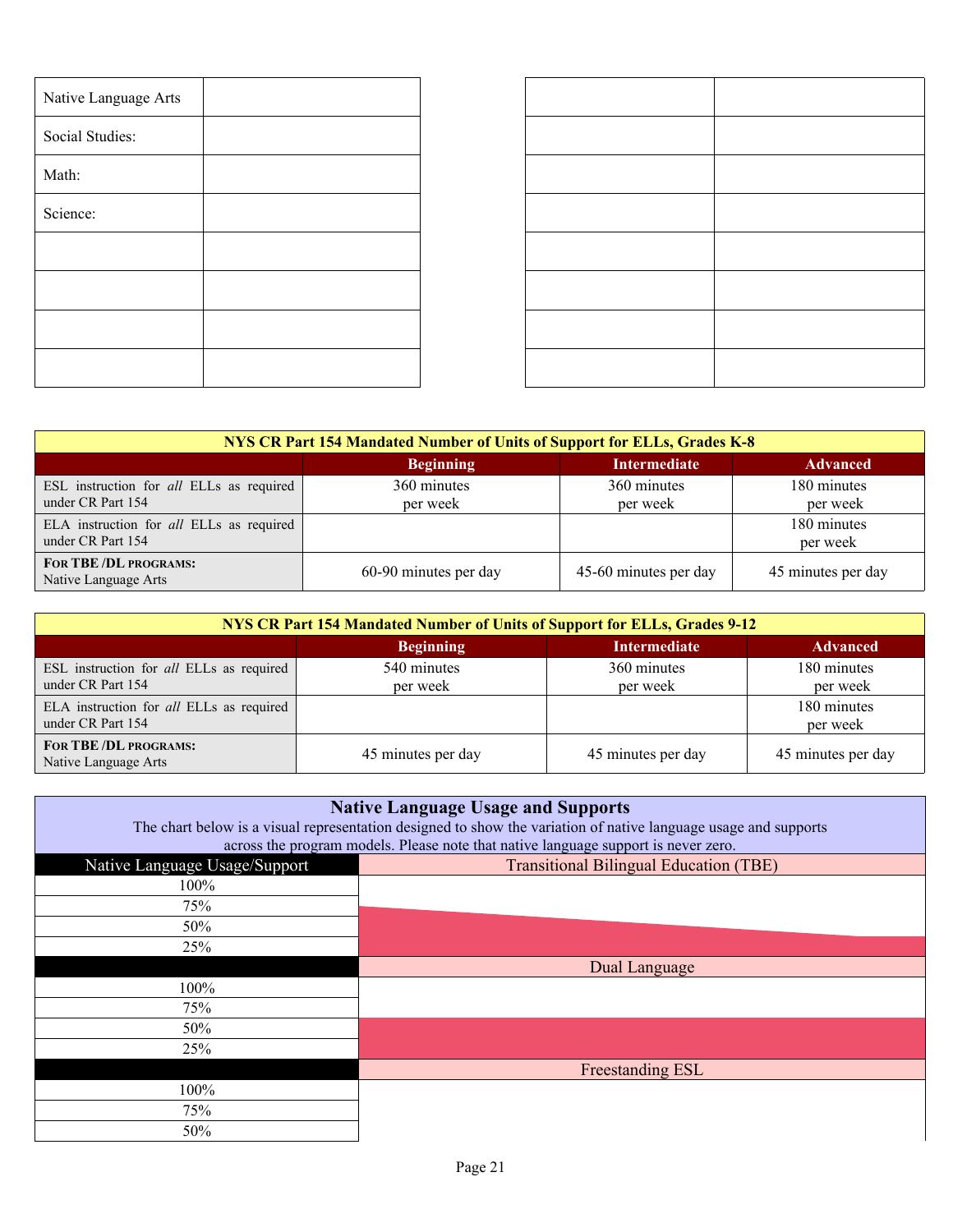| Native Language Arts |  |  |
|----------------------|--|--|
| Social Studies:      |  |  |
| Math:                |  |  |
| Science:             |  |  |
|                      |  |  |
|                      |  |  |
|                      |  |  |
|                      |  |  |

| NYS CR Part 154 Mandated Number of Units of Support for ELLs, Grades K-8 |                         |                         |                         |  |  |  |  |  |  |  |
|--------------------------------------------------------------------------|-------------------------|-------------------------|-------------------------|--|--|--|--|--|--|--|
|                                                                          | <b>Beginning</b>        | <b>Intermediate</b>     | <b>Advanced</b>         |  |  |  |  |  |  |  |
| ESL instruction for all ELLs as required<br>under CR Part 154            | 360 minutes<br>per week | 360 minutes<br>per week | 180 minutes<br>per week |  |  |  |  |  |  |  |
| ELA instruction for all ELLs as required<br>under CR Part 154            |                         |                         | 180 minutes<br>per week |  |  |  |  |  |  |  |
| FOR TBE/DL PROGRAMS:<br>Native Language Arts                             | 60-90 minutes per day   | 45-60 minutes per day   | 45 minutes per day      |  |  |  |  |  |  |  |

| NYS CR Part 154 Mandated Number of Units of Support for ELLs, Grades 9-12 |                         |                         |                         |  |  |  |  |  |  |  |
|---------------------------------------------------------------------------|-------------------------|-------------------------|-------------------------|--|--|--|--|--|--|--|
|                                                                           | <b>Beginning</b>        | <b>Intermediate</b>     | <b>Advanced</b>         |  |  |  |  |  |  |  |
| ESL instruction for all ELLs as required<br>under CR Part 154             | 540 minutes<br>per week | 360 minutes<br>per week | 180 minutes<br>per week |  |  |  |  |  |  |  |
| ELA instruction for all ELLs as required<br>under CR Part 154             |                         |                         | 180 minutes<br>per week |  |  |  |  |  |  |  |
| FOR TBE/DL PROGRAMS:<br>Native Language Arts                              | 45 minutes per day      | 45 minutes per day      | 45 minutes per day      |  |  |  |  |  |  |  |

| <b>Native Language Usage and Supports</b><br>The chart below is a visual representation designed to show the variation of native language usage and supports<br>across the program models. Please note that native language support is never zero. |                                               |  |  |  |  |  |  |  |  |  |
|----------------------------------------------------------------------------------------------------------------------------------------------------------------------------------------------------------------------------------------------------|-----------------------------------------------|--|--|--|--|--|--|--|--|--|
| Native Language Usage/Support                                                                                                                                                                                                                      | <b>Transitional Bilingual Education (TBE)</b> |  |  |  |  |  |  |  |  |  |
| $100\%$                                                                                                                                                                                                                                            |                                               |  |  |  |  |  |  |  |  |  |
| 75%                                                                                                                                                                                                                                                |                                               |  |  |  |  |  |  |  |  |  |
| 50%                                                                                                                                                                                                                                                |                                               |  |  |  |  |  |  |  |  |  |
| 25%                                                                                                                                                                                                                                                |                                               |  |  |  |  |  |  |  |  |  |
|                                                                                                                                                                                                                                                    | Dual Language                                 |  |  |  |  |  |  |  |  |  |
| 100%                                                                                                                                                                                                                                               |                                               |  |  |  |  |  |  |  |  |  |
| 75%                                                                                                                                                                                                                                                |                                               |  |  |  |  |  |  |  |  |  |
| 50%                                                                                                                                                                                                                                                |                                               |  |  |  |  |  |  |  |  |  |
| 25%                                                                                                                                                                                                                                                |                                               |  |  |  |  |  |  |  |  |  |
|                                                                                                                                                                                                                                                    | Freestanding ESL                              |  |  |  |  |  |  |  |  |  |
| 100%                                                                                                                                                                                                                                               |                                               |  |  |  |  |  |  |  |  |  |
| 75%                                                                                                                                                                                                                                                |                                               |  |  |  |  |  |  |  |  |  |
| 50%                                                                                                                                                                                                                                                |                                               |  |  |  |  |  |  |  |  |  |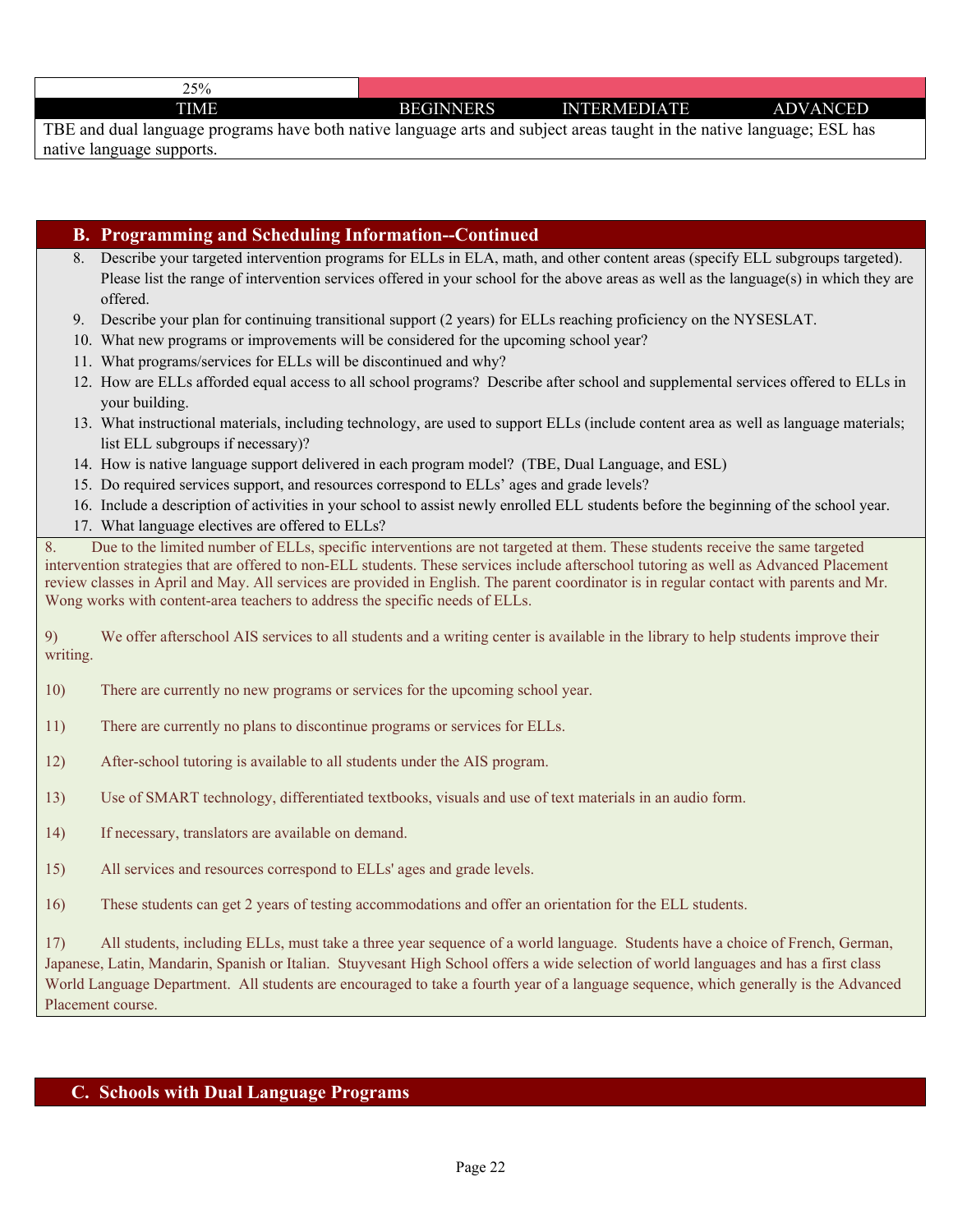| 25%<br>، ب |                  |                     |                 |
|------------|------------------|---------------------|-----------------|
| TIME       | <b>BEGINNERS</b> | <b>INTERMEDIATE</b> | <b>ADVANCED</b> |
|            |                  |                     |                 |

TBE and dual language programs have both native language arts and subject areas taught in the native language; ESL has native language supports.

#### **B. Programming and Scheduling Information--Continued**

- 8. Describe your targeted intervention programs for ELLs in ELA, math, and other content areas (specify ELL subgroups targeted). Please list the range of intervention services offered in your school for the above areas as well as the language(s) in which they are offered.
- 9. Describe your plan for continuing transitional support (2 years) for ELLs reaching proficiency on the NYSESLAT.
- 10. What new programs or improvements will be considered for the upcoming school year?
- 11. What programs/services for ELLs will be discontinued and why?
- 12. How are ELLs afforded equal access to all school programs? Describe after school and supplemental services offered to ELLs in your building.
- 13. What instructional materials, including technology, are used to support ELLs (include content area as well as language materials; list ELL subgroups if necessary)?
- 14. How is native language support delivered in each program model? (TBE, Dual Language, and ESL)
- 15. Do required services support, and resources correspond to ELLs' ages and grade levels?
- 16. Include a description of activities in your school to assist newly enrolled ELL students before the beginning of the school year.
- 17. What language electives are offered to ELLs?

8. Due to the limited number of ELLs, specific interventions are not targeted at them. These students receive the same targeted intervention strategies that are offered to non-ELL students. These services include afterschool tutoring as well as Advanced Placement review classes in April and May. All services are provided in English. The parent coordinator is in regular contact with parents and Mr. Wong works with content-area teachers to address the specific needs of ELLs.

9) We offer afterschool AIS services to all students and a writing center is available in the library to help students improve their writing.

- 10) There are currently no new programs or services for the upcoming school year.
- 11) There are currently no plans to discontinue programs or services for ELLs.
- 12) After-school tutoring is available to all students under the AIS program.
- 13) Use of SMART technology, differentiated textbooks, visuals and use of text materials in an audio form.
- 14) If necessary, translators are available on demand.
- 15) All services and resources correspond to ELLs' ages and grade levels.
- 16) These students can get 2 years of testing accommodations and offer an orientation for the ELL students.

17) All students, including ELLs, must take a three year sequence of a world language. Students have a choice of French, German, Japanese, Latin, Mandarin, Spanish or Italian. Stuyvesant High School offers a wide selection of world languages and has a first class World Language Department. All students are encouraged to take a fourth year of a language sequence, which generally is the Advanced Placement course.

#### **C. Schools with Dual Language Programs**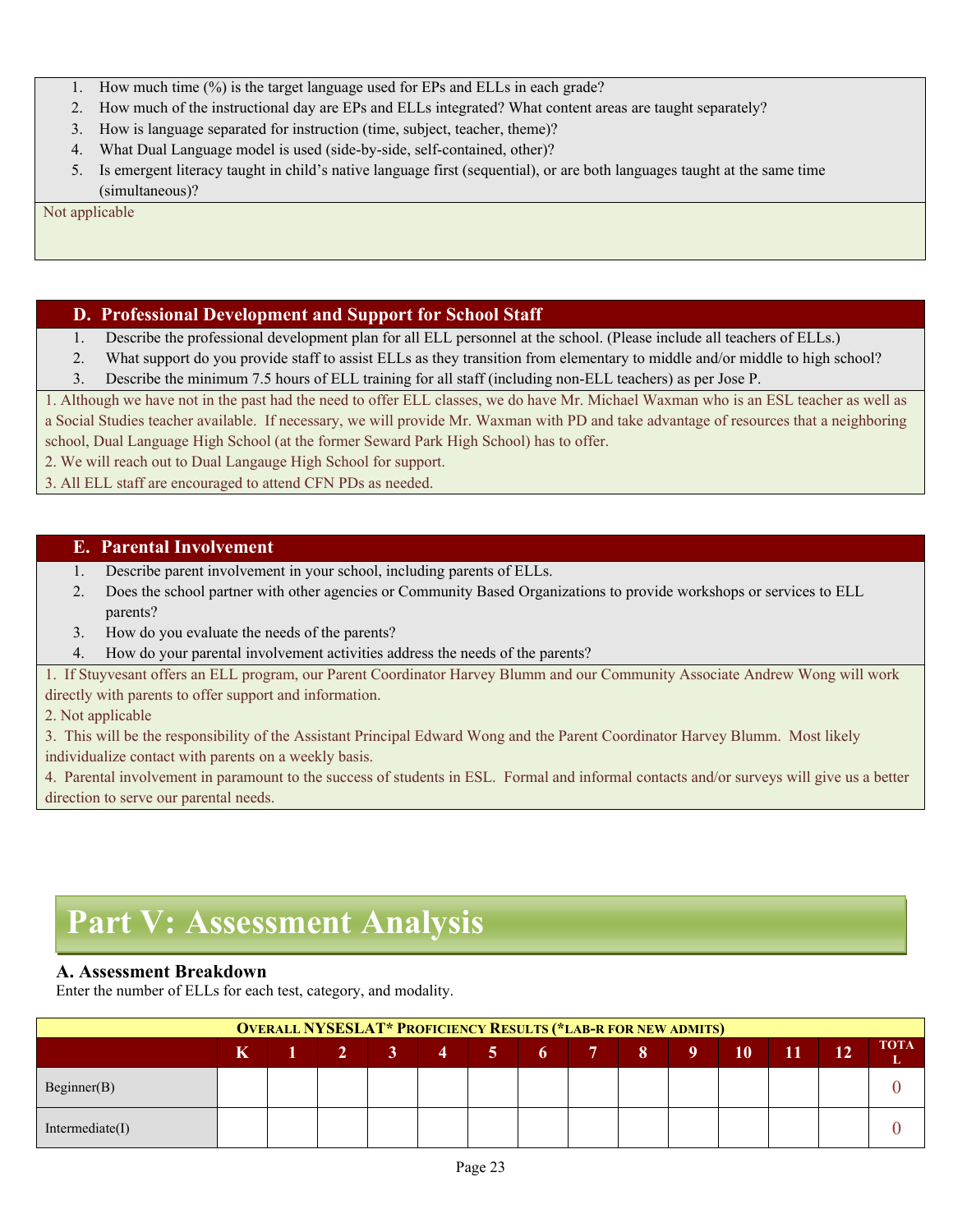- 1. How much time (%) is the target language used for EPs and ELLs in each grade?
- 2. How much of the instructional day are EPs and ELLs integrated? What content areas are taught separately?
- 3. How is language separated for instruction (time, subject, teacher, theme)?
- 4. What Dual Language model is used (side-by-side, self-contained, other)?
- 5. Is emergent literacy taught in child's native language first (sequential), or are both languages taught at the same time (simultaneous)?

Not applicable

#### **D. Professional Development and Support for School Staff**

1. Describe the professional development plan for all ELL personnel at the school. (Please include all teachers of ELLs.)

2. What support do you provide staff to assist ELLs as they transition from elementary to middle and/or middle to high school? 3. Describe the minimum 7.5 hours of ELL training for all staff (including non-ELL teachers) as per Jose P.

1. Although we have not in the past had the need to offer ELL classes, we do have Mr. Michael Waxman who is an ESL teacher as well as a Social Studies teacher available. If necessary, we will provide Mr. Waxman with PD and take advantage of resources that a neighboring school, Dual Language High School (at the former Seward Park High School) has to offer.

2. We will reach out to Dual Langauge High School for support.

3. All ELL staff are encouraged to attend CFN PDs as needed.

#### **E. Parental Involvement**

- 1. Describe parent involvement in your school, including parents of ELLs.
- 2. Does the school partner with other agencies or Community Based Organizations to provide workshops or services to ELL parents?
- 3. How do you evaluate the needs of the parents?
- 4. How do your parental involvement activities address the needs of the parents?

1. If Stuyvesant offers an ELL program, our Parent Coordinator Harvey Blumm and our Community Associate Andrew Wong will work directly with parents to offer support and information.

2. Not applicable

3. This will be the responsibility of the Assistant Principal Edward Wong and the Parent Coordinator Harvey Blumm. Most likely individualize contact with parents on a weekly basis.

4. Parental involvement in paramount to the success of students in ESL. Formal and informal contacts and/or surveys will give us a better direction to serve our parental needs.

## **Part V: Assessment Analysis**

#### **A. Assessment Breakdown**

Enter the number of ELLs for each test, category, and modality.

| <b>OVERALL NYSESLAT* PROFICIENCY RESULTS (*LAB-R FOR NEW ADMITS)</b> |             |  |  |  |                      |  |  |  |  |  |    |            |           |             |
|----------------------------------------------------------------------|-------------|--|--|--|----------------------|--|--|--|--|--|----|------------|-----------|-------------|
|                                                                      | $\mathbf K$ |  |  |  | $-1$ 2 3 4 5 6 7 8 9 |  |  |  |  |  | 10 | <b>AIT</b> | <b>12</b> | <b>TOTA</b> |
| Beginner(B)                                                          |             |  |  |  |                      |  |  |  |  |  |    |            |           |             |
| Intermediate(I)                                                      |             |  |  |  |                      |  |  |  |  |  |    |            |           |             |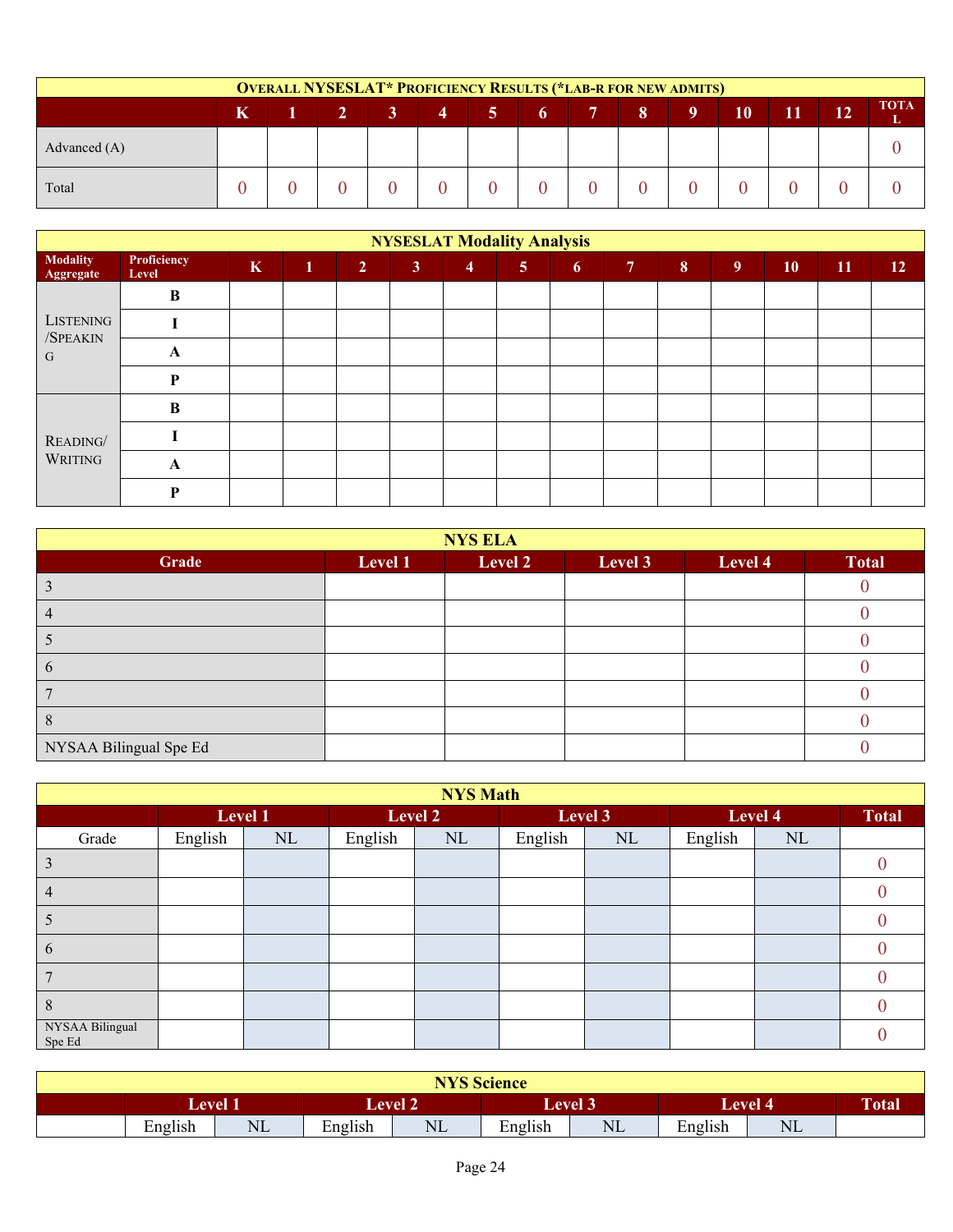| <b>OVERALL NYSESLAT* PROFICIENCY RESULTS (*LAB-R FOR NEW ADMITS)</b> |   |  |                |                |                |                |   |  |    |   |    |    |    |                  |
|----------------------------------------------------------------------|---|--|----------------|----------------|----------------|----------------|---|--|----|---|----|----|----|------------------|
|                                                                      | K |  | 2 <sup>1</sup> | 3 <sup>1</sup> | $\overline{4}$ | <b>57</b>      | 6 |  | 8. | 9 | 10 | 11 | 12 | <b>TOTA</b><br>L |
| Advanced $(A)$                                                       |   |  |                |                |                |                |   |  |    |   |    |    |    |                  |
| Total                                                                |   |  |                |                |                | $\overline{0}$ |   |  |    |   |    |    |    |                  |

|                              | <b>NYSESLAT Modality Analysis</b> |             |              |                |                |                |                |                |                |                |   |    |    |                 |
|------------------------------|-----------------------------------|-------------|--------------|----------------|----------------|----------------|----------------|----------------|----------------|----------------|---|----|----|-----------------|
| <b>Modality</b><br>Aggregate | Proficiency<br>Level              | $\mathbf K$ | $\mathbf{1}$ | 2 <sup>1</sup> | 3 <sup>1</sup> | $\overline{4}$ | 5 <sup>1</sup> | 6 <sup>1</sup> | 7 <sup>7</sup> | 8 <sup>°</sup> | 9 | 10 | 11 | 12 <sup>7</sup> |
|                              | B                                 |             |              |                |                |                |                |                |                |                |   |    |    |                 |
| <b>LISTENING</b>             |                                   |             |              |                |                |                |                |                |                |                |   |    |    |                 |
| /SPEAKIN<br>G                | A                                 |             |              |                |                |                |                |                |                |                |   |    |    |                 |
|                              | P                                 |             |              |                |                |                |                |                |                |                |   |    |    |                 |
|                              | B                                 |             |              |                |                |                |                |                |                |                |   |    |    |                 |
| READING/<br>WRITING          |                                   |             |              |                |                |                |                |                |                |                |   |    |    |                 |
|                              | A                                 |             |              |                |                |                |                |                |                |                |   |    |    |                 |
|                              | D                                 |             |              |                |                |                |                |                |                |                |   |    |    |                 |

| <b>NYS ELA</b>         |         |         |         |         |              |  |  |  |  |  |  |
|------------------------|---------|---------|---------|---------|--------------|--|--|--|--|--|--|
| Grade                  | Level 1 | Level 2 | Level 3 | Level 4 | <b>Total</b> |  |  |  |  |  |  |
|                        |         |         |         |         |              |  |  |  |  |  |  |
|                        |         |         |         |         |              |  |  |  |  |  |  |
|                        |         |         |         |         |              |  |  |  |  |  |  |
| O                      |         |         |         |         |              |  |  |  |  |  |  |
|                        |         |         |         |         |              |  |  |  |  |  |  |
|                        |         |         |         |         |              |  |  |  |  |  |  |
| NYSAA Bilingual Spe Ed |         |         |         |         |              |  |  |  |  |  |  |

|                           | <b>NYS Math</b> |          |         |          |         |         |         |              |  |  |  |  |  |  |
|---------------------------|-----------------|----------|---------|----------|---------|---------|---------|--------------|--|--|--|--|--|--|
|                           |                 | Level 1  |         | Level 2  |         | Level 3 | Level 4 | <b>Total</b> |  |  |  |  |  |  |
| Grade                     | English         | $\rm NL$ | English | $\rm NL$ | English | NL      | English | NL           |  |  |  |  |  |  |
| 3                         |                 |          |         |          |         |         |         |              |  |  |  |  |  |  |
| 4                         |                 |          |         |          |         |         |         |              |  |  |  |  |  |  |
| ς                         |                 |          |         |          |         |         |         |              |  |  |  |  |  |  |
| 6                         |                 |          |         |          |         |         |         |              |  |  |  |  |  |  |
|                           |                 |          |         |          |         |         |         |              |  |  |  |  |  |  |
| 8                         |                 |          |         |          |         |         |         |              |  |  |  |  |  |  |
| NYSAA Bilingual<br>Spe Ed |                 |          |         |          |         |         |         |              |  |  |  |  |  |  |

| <b>NYS Science</b>       |                     |         |            |         |                |                           |       |  |  |  |  |
|--------------------------|---------------------|---------|------------|---------|----------------|---------------------------|-------|--|--|--|--|
|                          | $\mathsf{Level}\ 1$ |         | $L$ evel 2 |         | <b>Level 3</b> | <b>Level 4</b>            | Total |  |  |  |  |
| English<br>$\sim$ $\sim$ | $\rm NL$            | English | $\rm NL$   | English | $\rm NL$       | $\cdots$<br>T.<br>English | NL    |  |  |  |  |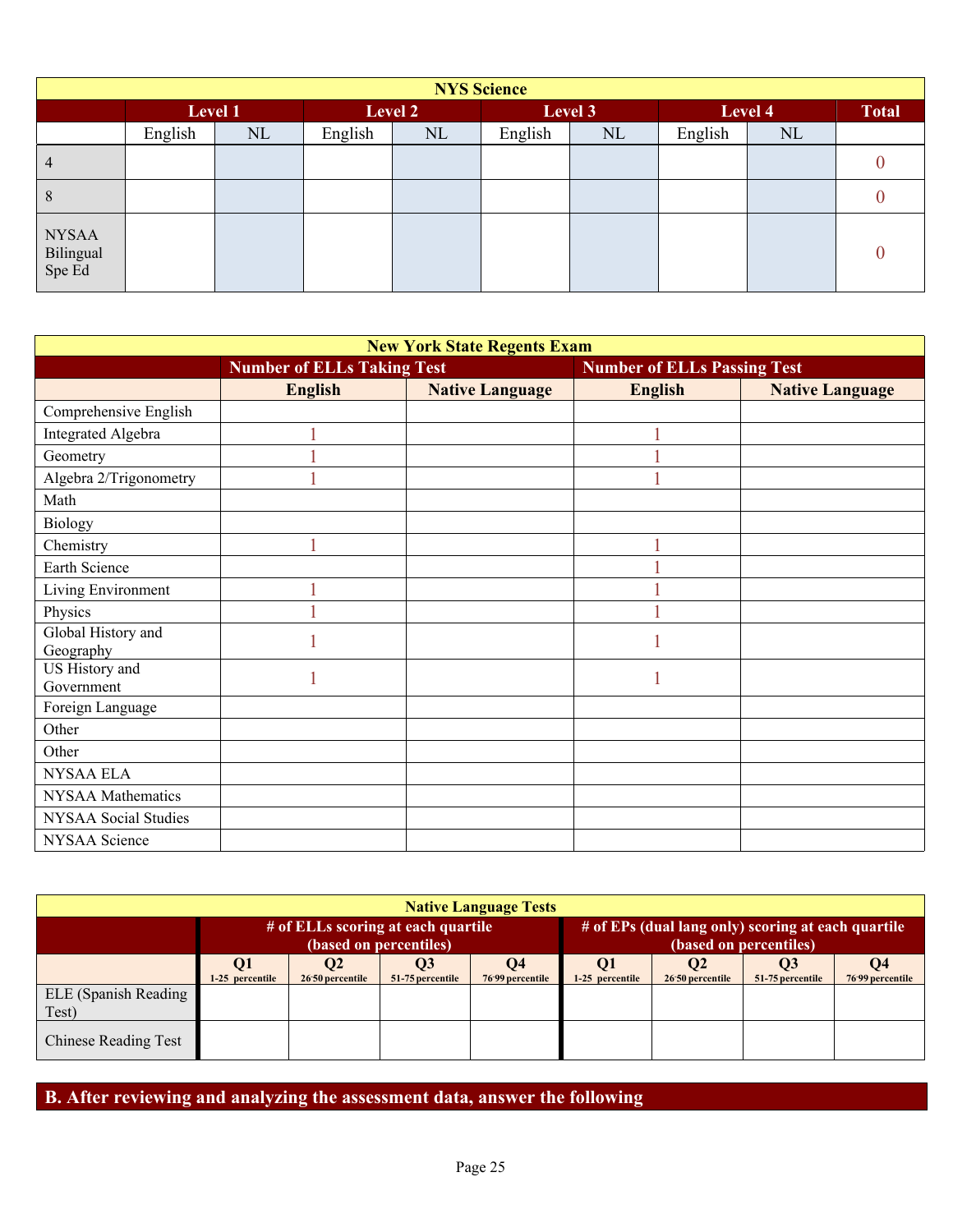|                                     | <b>NYS Science</b> |    |         |    |         |         |         |              |  |  |  |  |
|-------------------------------------|--------------------|----|---------|----|---------|---------|---------|--------------|--|--|--|--|
|                                     | Level 1            |    | Level 2 |    |         | Level 3 | Level 4 | <b>Total</b> |  |  |  |  |
|                                     | English            | NL | English | NL | English | NL      | English | NL           |  |  |  |  |
| $\overline{4}$                      |                    |    |         |    |         |         |         |              |  |  |  |  |
| 8                                   |                    |    |         |    |         |         |         |              |  |  |  |  |
| <b>NYSAA</b><br>Bilingual<br>Spe Ed |                    |    |         |    |         |         |         |              |  |  |  |  |

| <b>New York State Regents Exam</b> |                                   |                        |                                    |                        |  |  |  |  |  |  |  |  |
|------------------------------------|-----------------------------------|------------------------|------------------------------------|------------------------|--|--|--|--|--|--|--|--|
|                                    | <b>Number of ELLs Taking Test</b> |                        | <b>Number of ELLs Passing Test</b> |                        |  |  |  |  |  |  |  |  |
|                                    | <b>English</b>                    | <b>Native Language</b> | <b>English</b>                     | <b>Native Language</b> |  |  |  |  |  |  |  |  |
| Comprehensive English              |                                   |                        |                                    |                        |  |  |  |  |  |  |  |  |
| <b>Integrated Algebra</b>          |                                   |                        |                                    |                        |  |  |  |  |  |  |  |  |
| Geometry                           |                                   |                        |                                    |                        |  |  |  |  |  |  |  |  |
| Algebra 2/Trigonometry             |                                   |                        |                                    |                        |  |  |  |  |  |  |  |  |
| Math                               |                                   |                        |                                    |                        |  |  |  |  |  |  |  |  |
| Biology                            |                                   |                        |                                    |                        |  |  |  |  |  |  |  |  |
| Chemistry                          |                                   |                        |                                    |                        |  |  |  |  |  |  |  |  |
| Earth Science                      |                                   |                        |                                    |                        |  |  |  |  |  |  |  |  |
| Living Environment                 |                                   |                        |                                    |                        |  |  |  |  |  |  |  |  |
| Physics                            |                                   |                        |                                    |                        |  |  |  |  |  |  |  |  |
| Global History and<br>Geography    |                                   |                        |                                    |                        |  |  |  |  |  |  |  |  |
| US History and<br>Government       |                                   |                        |                                    |                        |  |  |  |  |  |  |  |  |
| Foreign Language                   |                                   |                        |                                    |                        |  |  |  |  |  |  |  |  |
| Other                              |                                   |                        |                                    |                        |  |  |  |  |  |  |  |  |
| Other                              |                                   |                        |                                    |                        |  |  |  |  |  |  |  |  |
| <b>NYSAA ELA</b>                   |                                   |                        |                                    |                        |  |  |  |  |  |  |  |  |
| <b>NYSAA</b> Mathematics           |                                   |                        |                                    |                        |  |  |  |  |  |  |  |  |
| NYSAA Social Studies               |                                   |                        |                                    |                        |  |  |  |  |  |  |  |  |
| NYSAA Science                      |                                   |                        |                                    |                        |  |  |  |  |  |  |  |  |

| <b>Native Language Tests</b>  |                 |                              |                                                              |                                           |                                                                              |                              |                        |                  |  |  |  |
|-------------------------------|-----------------|------------------------------|--------------------------------------------------------------|-------------------------------------------|------------------------------------------------------------------------------|------------------------------|------------------------|------------------|--|--|--|
|                               |                 |                              | # of ELLs scoring at each quartile<br>(based on percentiles) |                                           | # of EPs (dual lang only) scoring at each quartile<br>(based on percentiles) |                              |                        |                  |  |  |  |
|                               | 1-25 percentile | $\bf{Q}$<br>26.50 percentile | <b>O3</b><br>51-75 percentile                                | <b>O4</b><br>76 <sup>-99</sup> percentile | Q <sub>1</sub><br>1-25 percentile                                            | <b>O2</b><br>2650 percentile | O3<br>51-75 percentile | 76-99 percentile |  |  |  |
| ELE (Spanish Reading<br>Test) |                 |                              |                                                              |                                           |                                                                              |                              |                        |                  |  |  |  |
| <b>Chinese Reading Test</b>   |                 |                              |                                                              |                                           |                                                                              |                              |                        |                  |  |  |  |

**B. After reviewing and analyzing the assessment data, answer the following**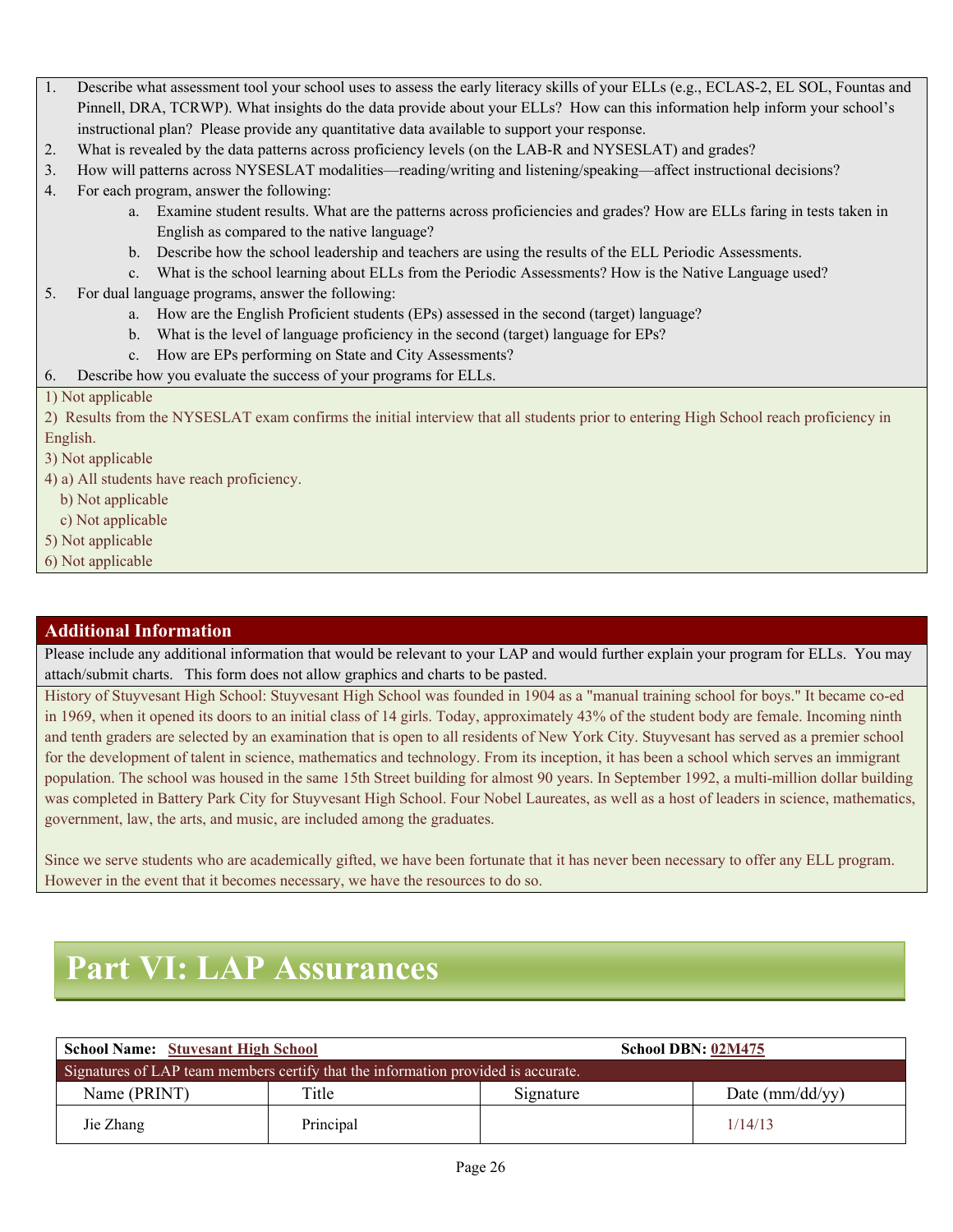- 1. Describe what assessment tool your school uses to assess the early literacy skills of your ELLs (e.g., ECLAS-2, EL SOL, Fountas and Pinnell, DRA, TCRWP). What insights do the data provide about your ELLs? How can this information help inform your school's instructional plan? Please provide any quantitative data available to support your response.
- 2. What is revealed by the data patterns across proficiency levels (on the LAB-R and NYSESLAT) and grades?
- 3. How will patterns across NYSESLAT modalities—reading/writing and listening/speaking—affect instructional decisions?
- 4. For each program, answer the following:
	- a. Examine student results. What are the patterns across proficiencies and grades? How are ELLs faring in tests taken in English as compared to the native language?
	- b. Describe how the school leadership and teachers are using the results of the ELL Periodic Assessments.
	- c. What is the school learning about ELLs from the Periodic Assessments? How is the Native Language used?
- 5. For dual language programs, answer the following:
	- a. How are the English Proficient students (EPs) assessed in the second (target) language?
	- b. What is the level of language proficiency in the second (target) language for EPs?
	- c. How are EPs performing on State and City Assessments?
- 6. Describe how you evaluate the success of your programs for ELLs.

#### 1) Not applicable

2) Results from the NYSESLAT exam confirms the initial interview that all students prior to entering High School reach proficiency in English.

3) Not applicable

4) a) All students have reach proficiency.

b) Not applicable

- c) Not applicable
- 5) Not applicable
- 6) Not applicable

#### **Additional Information**

Please include any additional information that would be relevant to your LAP and would further explain your program for ELLs. You may attach/submit charts. This form does not allow graphics and charts to be pasted.

History of Stuyvesant High School: Stuyvesant High School was founded in 1904 as a "manual training school for boys." It became co-ed in 1969, when it opened its doors to an initial class of 14 girls. Today, approximately 43% of the student body are female. Incoming ninth and tenth graders are selected by an examination that is open to all residents of New York City. Stuyvesant has served as a premier school for the development of talent in science, mathematics and technology. From its inception, it has been a school which serves an immigrant population. The school was housed in the same 15th Street building for almost 90 years. In September 1992, a multi-million dollar building was completed in Battery Park City for Stuyvesant High School. Four Nobel Laureates, as well as a host of leaders in science, mathematics, government, law, the arts, and music, are included among the graduates.

Since we serve students who are academically gifted, we have been fortunate that it has never been necessary to offer any ELL program. However in the event that it becomes necessary, we have the resources to do so.

## **Part VI: LAP Assurances**

| <b>School Name: Stuvesant High School</b>                                         |           | School DBN: 02M475 |                     |  |
|-----------------------------------------------------------------------------------|-----------|--------------------|---------------------|--|
| Signatures of LAP team members certify that the information provided is accurate. |           |                    |                     |  |
| Name (PRINT)                                                                      | Title     | Signature          | Date ( $mm/dd/yy$ ) |  |
| Jie Zhang                                                                         | Principal |                    | 1/14/13             |  |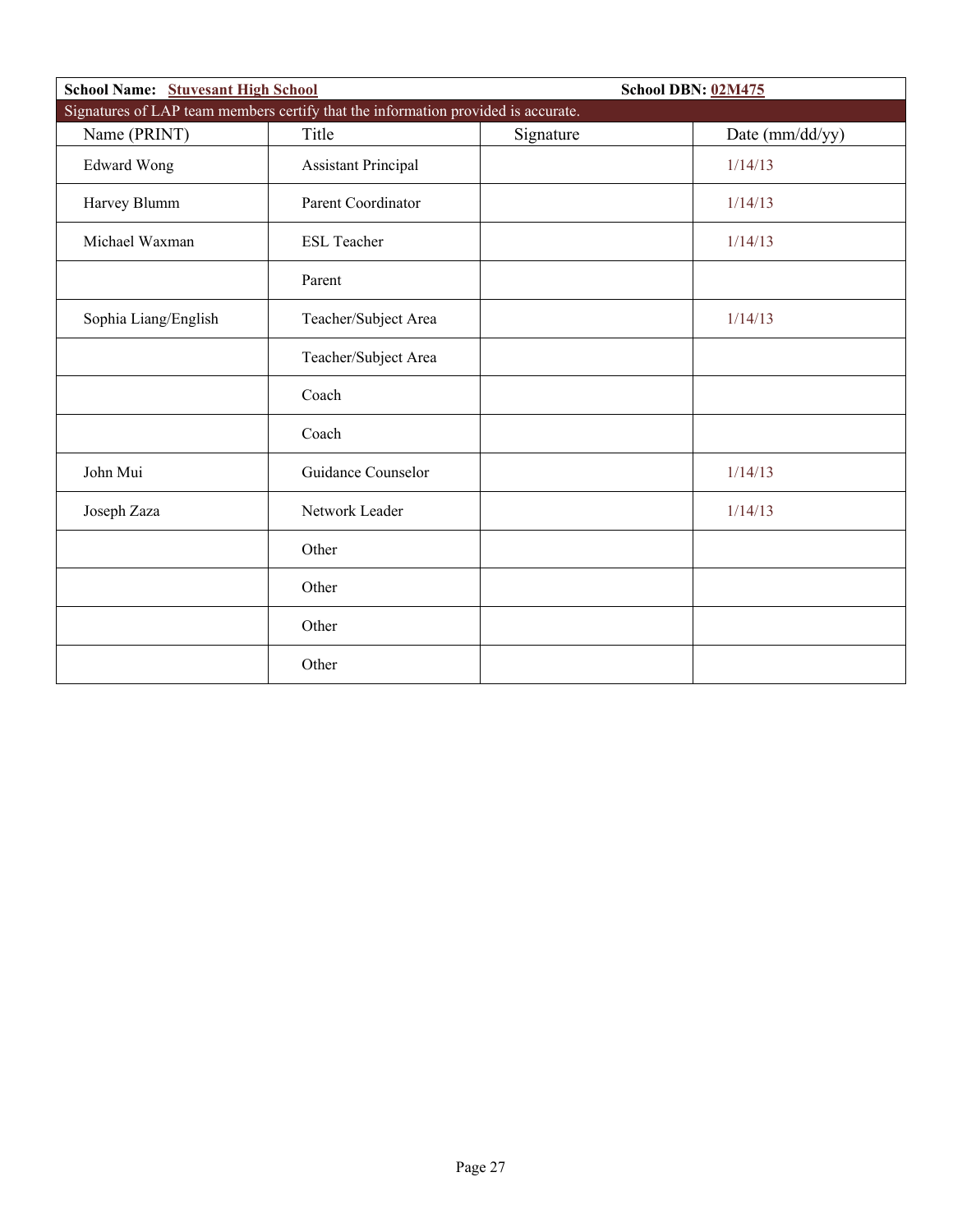| <b>School Name:</b> Stuvesant High School                                         |                            | <b>School DBN: 02M475</b> |                 |  |
|-----------------------------------------------------------------------------------|----------------------------|---------------------------|-----------------|--|
| Signatures of LAP team members certify that the information provided is accurate. |                            |                           |                 |  |
| Name (PRINT)                                                                      | Title                      | Signature                 | Date (mm/dd/yy) |  |
| <b>Edward Wong</b>                                                                | <b>Assistant Principal</b> |                           | 1/14/13         |  |
| Harvey Blumm                                                                      | Parent Coordinator         |                           | 1/14/13         |  |
| Michael Waxman                                                                    | <b>ESL Teacher</b>         |                           | 1/14/13         |  |
|                                                                                   | Parent                     |                           |                 |  |
| Sophia Liang/English                                                              | Teacher/Subject Area       |                           | 1/14/13         |  |
|                                                                                   | Teacher/Subject Area       |                           |                 |  |
|                                                                                   | Coach                      |                           |                 |  |
|                                                                                   | Coach                      |                           |                 |  |
| John Mui                                                                          | Guidance Counselor         |                           | 1/14/13         |  |
| Joseph Zaza                                                                       | Network Leader             |                           | 1/14/13         |  |
|                                                                                   | Other                      |                           |                 |  |
|                                                                                   | Other                      |                           |                 |  |
|                                                                                   | Other                      |                           |                 |  |
|                                                                                   | Other                      |                           |                 |  |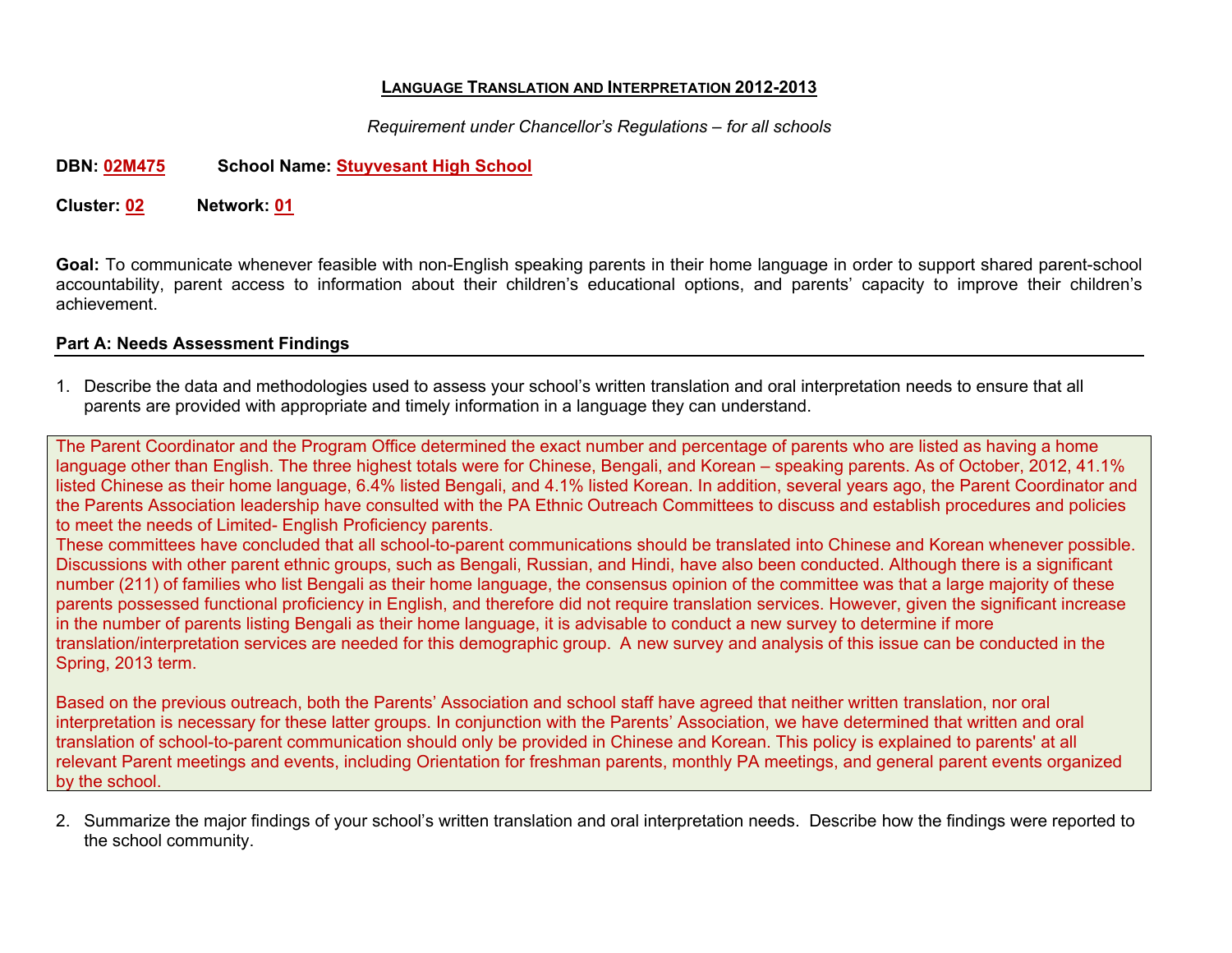#### **LANGUAGE TRANSLATION AND INTERPRETATION 2012-2013**

*Requirement under Chancellor's Regulations – for all schools*

#### **DBN: 02M475 School Name: Stuyvesant High School**

**Cluster: 02 Network: 01**

**Goal:** To communicate whenever feasible with non-English speaking parents in their home language in order to support shared parent-school accountability, parent access to information about their children's educational options, and parents' capacity to improve their children's achievement.

#### **Part A: Needs Assessment Findings**

1. Describe the data and methodologies used to assess your school's written translation and oral interpretation needs to ensure that all parents are provided with appropriate and timely information in a language they can understand.

The Parent Coordinator and the Program Office determined the exact number and percentage of parents who are listed as having a home language other than English. The three highest totals were for Chinese, Bengali, and Korean – speaking parents. As of October, 2012, 41.1% listed Chinese as their home language, 6.4% listed Bengali, and 4.1% listed Korean. In addition, several years ago, the Parent Coordinator and the Parents Association leadership have consulted with the PA Ethnic Outreach Committees to discuss and establish procedures and policies to meet the needs of Limited- English Proficiency parents.

These committees have concluded that all school-to-parent communications should be translated into Chinese and Korean whenever possible. Discussions with other parent ethnic groups, such as Bengali, Russian, and Hindi, have also been conducted. Although there is a significant number (211) of families who list Bengali as their home language, the consensus opinion of the committee was that a large majority of these parents possessed functional proficiency in English, and therefore did not require translation services. However, given the significant increase in the number of parents listing Bengali as their home language, it is advisable to conduct a new survey to determine if more translation/interpretation services are needed for this demographic group. A new survey and analysis of this issue can be conducted in the Spring, 2013 term.

Based on the previous outreach, both the Parents' Association and school staff have agreed that neither written translation, nor oral interpretation is necessary for these latter groups. In conjunction with the Parents' Association, we have determined that written and oral translation of school-to-parent communication should only be provided in Chinese and Korean. This policy is explained to parents' at all relevant Parent meetings and events, including Orientation for freshman parents, monthly PA meetings, and general parent events organized by the school.

2. Summarize the major findings of your school's written translation and oral interpretation needs. Describe how the findings were reported to the school community.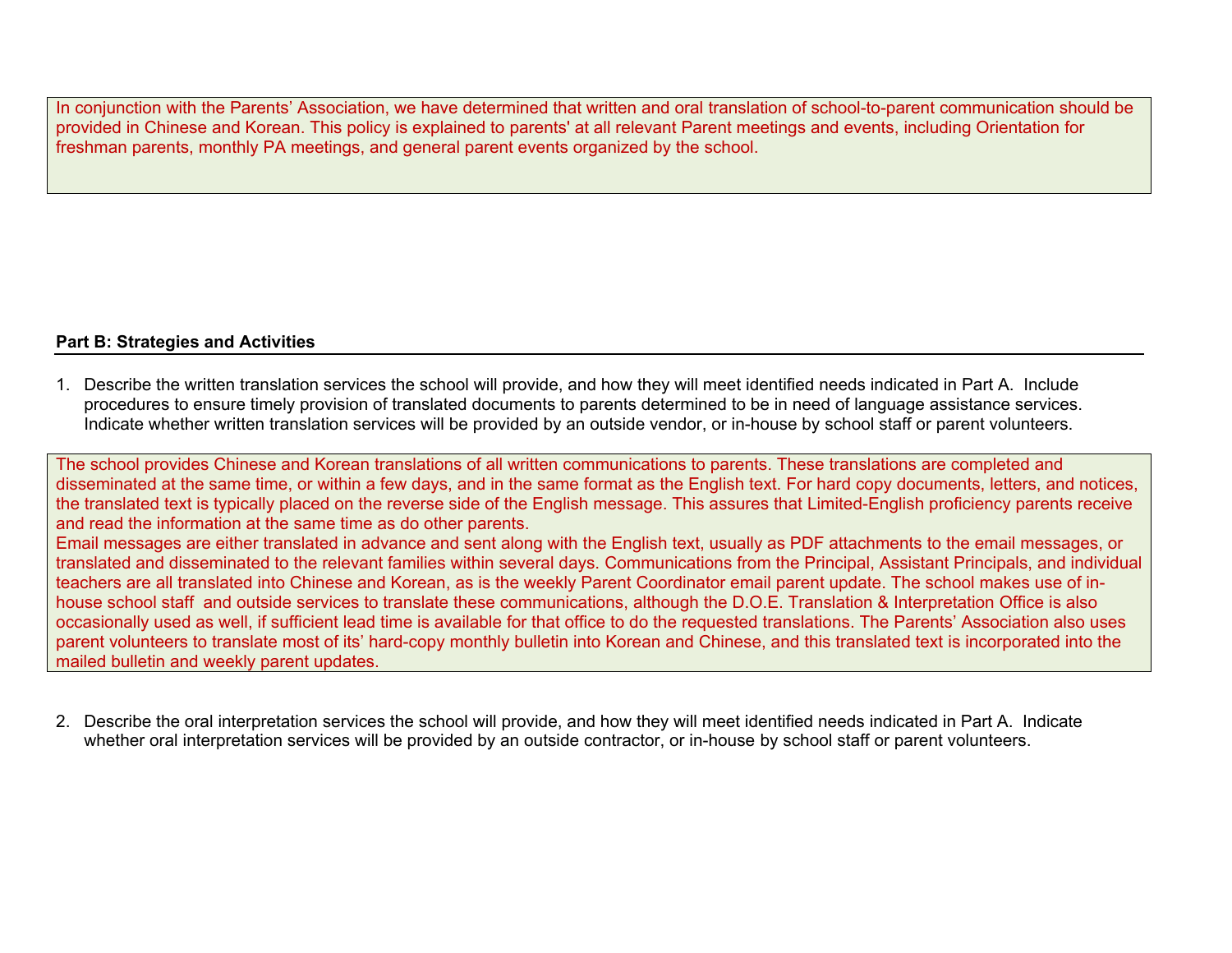In conjunction with the Parents' Association, we have determined that written and oral translation of school-to-parent communication should be provided in Chinese and Korean. This policy is explained to parents' at all relevant Parent meetings and events, including Orientation for freshman parents, monthly PA meetings, and general parent events organized by the school.

#### **Part B: Strategies and Activities**

1. Describe the written translation services the school will provide, and how they will meet identified needs indicated in Part A. Include procedures to ensure timely provision of translated documents to parents determined to be in need of language assistance services. Indicate whether written translation services will be provided by an outside vendor, or in-house by school staff or parent volunteers.

The school provides Chinese and Korean translations of all written communications to parents. These translations are completed and disseminated at the same time, or within a few days, and in the same format as the English text. For hard copy documents, letters, and notices, the translated text is typically placed on the reverse side of the English message. This assures that Limited-English proficiency parents receive and read the information at the same time as do other parents. Email messages are either translated in advance and sent along with the English text, usually as PDF attachments to the email messages, or translated and disseminated to the relevant families within several days. Communications from the Principal, Assistant Principals, and individual teachers are all translated into Chinese and Korean, as is the weekly Parent Coordinator email parent update. The school makes use of inhouse school staff and outside services to translate these communications, although the D.O.E. Translation & Interpretation Office is also occasionally used as well, if sufficient lead time is available for that office to do the requested translations. The Parents' Association also uses parent volunteers to translate most of its' hard-copy monthly bulletin into Korean and Chinese, and this translated text is incorporated into the mailed bulletin and weekly parent updates.

2. Describe the oral interpretation services the school will provide, and how they will meet identified needs indicated in Part A. Indicate whether oral interpretation services will be provided by an outside contractor, or in-house by school staff or parent volunteers.